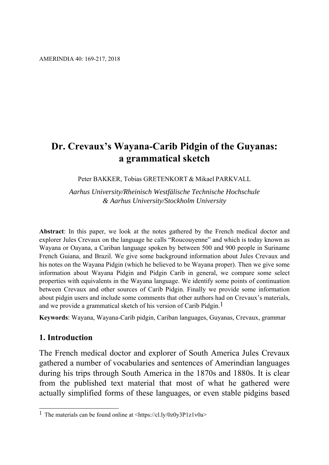# **Dr. Crevaux's Wayana-Carib Pidgin of the Guyanas: a grammatical sketch**

Peter BAKKER, Tobias GRETENKORT & Mikael PARKVALL

*Aarhus University/Rheinisch Westfälische Technische Hochschule & Aarhus University/Stockholm University* 

**Abstract**: In this paper, we look at the notes gathered by the French medical doctor and explorer Jules Crevaux on the language he calls "Roucouyenne" and which is today known as Wayana or Oayana, a Cariban language spoken by between 500 and 900 people in Suriname French Guiana, and Brazil. We give some background information about Jules Crevaux and his notes on the Wayana Pidgin (which he believed to be Wayana proper). Then we give some information about Wayana Pidgin and Pidgin Carib in general, we compare some select properties with equivalents in the Wayana language. We identify some points of continuation between Crevaux and other sources of Carib Pidgin. Finally we provide some information about pidgin users and include some comments that other authors had on Crevaux's materials, and we provide a grammatical sketch of his version of Carib Pidgin.<sup>1</sup>

**Keywords**: Wayana, Wayana-Carib pidgin, Cariban languages, Guyanas, Crevaux, grammar

### **1. Introduction**

The French medical doctor and explorer of South America Jules Crevaux gathered a number of vocabularies and sentences of Amerindian languages during his trips through South America in the 1870s and 1880s. It is clear from the published text material that most of what he gathered were actually simplified forms of these languages, or even stable pidgins based

<sup>1</sup> <sup>1</sup> The materials can be found online at  $\langle \text{https://cl.lv/0z0v3P1z1v0a} \rangle$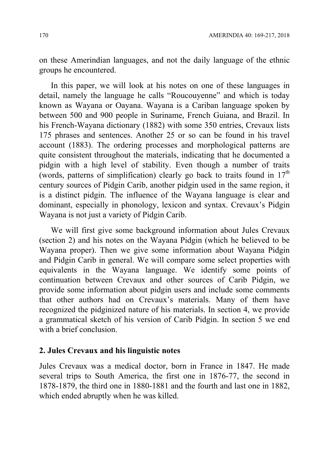on these Amerindian languages, and not the daily language of the ethnic groups he encountered.

In this paper, we will look at his notes on one of these languages in detail, namely the language he calls "Roucouyenne" and which is today known as Wayana or Oayana. Wayana is a Cariban language spoken by between 500 and 900 people in Suriname, French Guiana, and Brazil. In his French-Wayana dictionary (1882) with some 350 entries, Crevaux lists 175 phrases and sentences. Another 25 or so can be found in his travel account (1883). The ordering processes and morphological patterns are quite consistent throughout the materials, indicating that he documented a pidgin with a high level of stability. Even though a number of traits (words, patterns of simplification) clearly go back to traits found in  $17<sup>th</sup>$ century sources of Pidgin Carib, another pidgin used in the same region, it is a distinct pidgin. The influence of the Wayana language is clear and dominant, especially in phonology, lexicon and syntax. Crevaux's Pidgin Wayana is not just a variety of Pidgin Carib.

We will first give some background information about Jules Crevaux (section 2) and his notes on the Wayana Pidgin (which he believed to be Wayana proper). Then we give some information about Wayana Pidgin and Pidgin Carib in general. We will compare some select properties with equivalents in the Wayana language. We identify some points of continuation between Crevaux and other sources of Carib Pidgin, we provide some information about pidgin users and include some comments that other authors had on Crevaux's materials. Many of them have recognized the pidginized nature of his materials. In section 4, we provide a grammatical sketch of his version of Carib Pidgin. In section 5 we end with a brief conclusion.

### **2. Jules Crevaux and his linguistic notes**

Jules Crevaux was a medical doctor, born in France in 1847. He made several trips to South America, the first one in 1876-77, the second in 1878-1879, the third one in 1880-1881 and the fourth and last one in 1882, which ended abruptly when he was killed.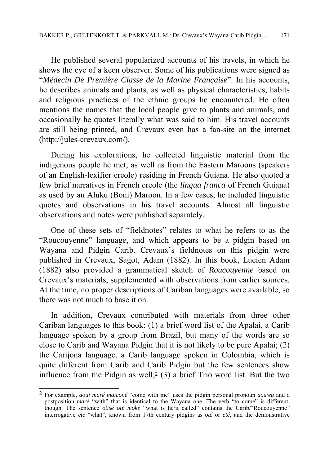He published several popularized accounts of his travels, in which he shows the eye of a keen observer. Some of his publications were signed as "*Médecin De Première Classe de la Marine Française*". In his accounts, he describes animals and plants, as well as physical characteristics, habits and religious practices of the ethnic groups he encountered. He often mentions the names that the local people give to plants and animals, and occasionally he quotes literally what was said to him. His travel accounts are still being printed, and Crevaux even has a fan-site on the internet (http://jules-crevaux.com/).

During his explorations, he collected linguistic material from the indigenous people he met, as well as from the Eastern Maroons (speakers of an English-lexifier creole) residing in French Guiana. He also quoted a few brief narratives in French creole (the *lingua franca* of French Guiana) as used by an Aluku (Boni) Maroon. In a few cases, he included linguistic quotes and observations in his travel accounts. Almost all linguistic observations and notes were published separately.

One of these sets of "fieldnotes" relates to what he refers to as the "Roucouyenne" language, and which appears to be a pidgin based on Wayana and Pidgin Carib. Crevaux's fieldnotes on this pidgin were published in Crevaux, Sagot, Adam (1882). In this book, Lucien Adam (1882) also provided a grammatical sketch of *Roucouyenne* based on Crevaux's materials, supplemented with observations from earlier sources. At the time, no proper descriptions of Cariban languages were available, so there was not much to base it on.

In addition, Crevaux contributed with materials from three other Cariban languages to this book: (1) a brief word list of the Apalai, a Carib language spoken by a group from Brazil, but many of the words are so close to Carib and Wayana Pidgin that it is not likely to be pure Apalai; (2) the Carijona language, a Carib language spoken in Colombia, which is quite different from Carib and Carib Pidgin but the few sentences show influence from the Pidgin as well;<sup>2</sup> (3) a brief Trio word list. But the two

1

<sup>2</sup> For example, *aoui maré maïconé* "come with me" uses the pidgin personal pronoun *aou*/*eu* and a postposition *maré* "with" that is identical to the Wayana one. The verb "to come" is different, though. The sentence *otisé oté moké* "what is he/it called" contains the Carib/"Roucouyenne" interrogative *ete* "what", known from 17th century pidgins as *oté* or *eté*, and the demonstrative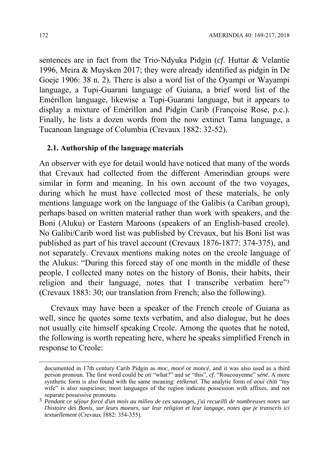sentences are in fact from the Trio-Ndyuka Pidgin (*cf*. Huttar & Velantie 1996, Meira & Muysken 2017; they were already identified as pidgin in De Goeje 1906: 38 n. 2). There is also a word list of the Oyampi or Wayampi language, a Tupi-Guarani language of Guiana, a brief word list of the Emérillon language, likewise a Tupi-Guarani language, but it appears to display a mixture of Emérillon and Pidgin Carib (Françoise Rose, p.c.). Finally, he lists a dozen words from the now extinct Tama language, a Tucanoan language of Columbia (Crevaux 1882: 32-52).

### **2.1. Authorship of the language materials**

An observer with eye for detail would have noticed that many of the words that Crevaux had collected from the different Amerindian groups were similar in form and meaning. In his own account of the two voyages, during which he must have collected most of these materials, he only mentions language work on the language of the Galibis (a Cariban group), perhaps based on written material rather than work with speakers, and the Boni (Aluku) or Eastern Maroons (speakers of an English-based creole). No Galibi/Carib word list was published by Crevaux, but his Boni list was published as part of his travel account (Crevaux 1876-1877: 374-375), and not separately. Crevaux mentions making notes on the creole language of the Alukus: "During this forced stay of one month in the middle of these people, I collected many notes on the history of Bonis, their habits, their religion and their language, notes that I transcribe verbatim here"3 (Crevaux 1883: 30; our translation from French; also the following).

Crevaux may have been a speaker of the French creole of Guiana as well, since he quotes some texts verbatim, and also dialogue, but he does not usually cite himself speaking Creole. Among the quotes that he noted, the following is worth repeating here, where he speaks simplified French in response to Creole:

1

documented in 17th century Carib Pidgin as *moc*, *mocé* or *moncé,* and it was also used as a third person pronoun. The first word could be *oti* "what?" and *se* "this", *cf*. "Roucouyenne" s*éné*. A more synthetic form is also found with the same meaning: *etékenaï*. The analytic form of *aoui chiti* "my wife" is also suspicious; most languages of the region indicate possession with affixes, and not separate possessive pronouns. 3 *Pendant ce séjour forcé d'un mois au milieu de ces sauvages, j'ai recueilli de nombreuses notes sur* 

*l'histoire des Bonis, sur leurs moeurs, sur leur religion et leur langage, notes que je transcris ici textuellement* (Crevaux 1882: 354-355).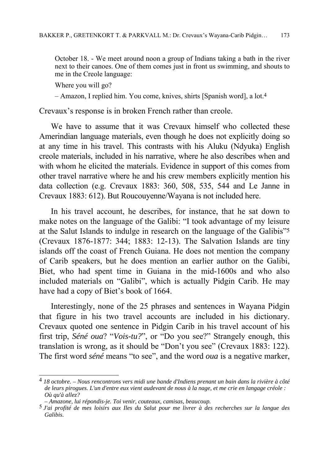October 18. - We meet around noon a group of Indians taking a bath in the river next to their canoes. One of them comes just in front us swimming, and shouts to me in the Creole language:

Where you will go?

– Amazon, I replied him. You come, knives, shirts [Spanish word], a lot.4

Crevaux's response is in broken French rather than creole.

We have to assume that it was Crevaux himself who collected these Amerindian language materials, even though he does not explicitly doing so at any time in his travel. This contrasts with his Aluku (Ndyuka) English creole materials, included in his narrative, where he also describes when and with whom he elicited the materials. Evidence in support of this comes from other travel narrative where he and his crew members explicitly mention his data collection (e.g. Crevaux 1883: 360, 508, 535, 544 and Le Janne in Crevaux 1883: 612). But Roucouyenne/Wayana is not included here.

In his travel account, he describes, for instance, that he sat down to make notes on the language of the Galibi: "I took advantage of my leisure at the Salut Islands to indulge in research on the language of the Galibis"5 (Crevaux 1876-1877: 344; 1883: 12-13). The Salvation Islands are tiny islands off the coast of French Guiana. He does not mention the company of Carib speakers, but he does mention an earlier author on the Galibi, Biet, who had spent time in Guiana in the mid-1600s and who also included materials on "Galibi", which is actually Pidgin Carib. He may have had a copy of Biet's book of 1664.

Interestingly, none of the 25 phrases and sentences in Wayana Pidgin that figure in his two travel accounts are included in his dictionary. Crevaux quoted one sentence in Pidgin Carib in his travel account of his first trip, *Séné oua*? "*Vois-tu?*", or "Do you see?" Strangely enough, this translation is wrong, as it should be "Don't you see" (Crevaux 1883: 122). The first word *séné* means "to see", and the word *oua* is a negative marker,

<sup>1</sup> 4 *18 octobre. – Nous rencontrons vers midi une bande d'Indiens prenant un bain dans la rivière à côté de leurs pirogues. L'un d'entre eux vient audevant de nous à la nage, et me crie en langage créole : Où qu'à allez?* 

*<sup>–</sup> Amazone, lui répondis-je. Toi venir, couteaux, camisas, beaucoup.*

<sup>5</sup> *J'ai profité de mes loisirs aux Iles du Salut pour me livrer à des recherches sur la langue des Galibis.*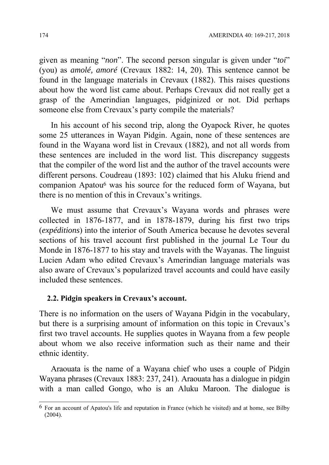given as meaning "*non*". The second person singular is given under "*toi*" (you) as *amolé, amoré* (Crevaux 1882: 14, 20). This sentence cannot be found in the language materials in Crevaux (1882). This raises questions about how the word list came about. Perhaps Crevaux did not really get a grasp of the Amerindian languages, pidginized or not. Did perhaps someone else from Crevaux's party compile the materials?

In his account of his second trip, along the Oyapock River, he quotes some 25 utterances in Wayan Pidgin. Again, none of these sentences are found in the Wayana word list in Crevaux (1882), and not all words from these sentences are included in the word list. This discrepancy suggests that the compiler of the word list and the author of the travel accounts were different persons. Coudreau (1893: 102) claimed that his Aluku friend and companion Apatou6 was his source for the reduced form of Wayana, but there is no mention of this in Crevaux's writings.

We must assume that Crevaux's Wayana words and phrases were collected in 1876-1877, and in 1878-1879, during his first two trips (*expéditions*) into the interior of South America because he devotes several sections of his travel account first published in the journal Le Tour du Monde in 1876-1877 to his stay and travels with the Wayanas. The linguist Lucien Adam who edited Crevaux's Amerindian language materials was also aware of Crevaux's popularized travel accounts and could have easily included these sentences.

#### **2.2. Pidgin speakers in Crevaux's account.**

There is no information on the users of Wayana Pidgin in the vocabulary, but there is a surprising amount of information on this topic in Crevaux's first two travel accounts. He supplies quotes in Wayana from a few people about whom we also receive information such as their name and their ethnic identity.

Araouata is the name of a Wayana chief who uses a couple of Pidgin Wayana phrases (Crevaux 1883: 237, 241). Araouata has a dialogue in pidgin with a man called Gongo, who is an Aluku Maroon. The dialogue is

1

 $6$  For an account of Apatou's life and reputation in France (which he visited) and at home, see Bilby (2004).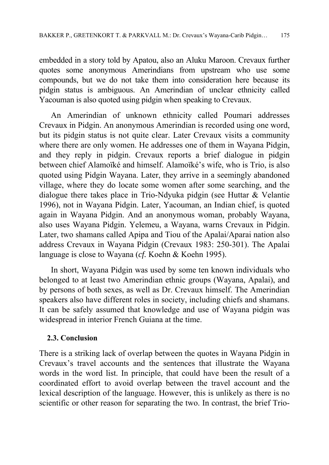embedded in a story told by Apatou, also an Aluku Maroon. Crevaux further quotes some anonymous Amerindians from upstream who use some compounds, but we do not take them into consideration here because its pidgin status is ambiguous. An Amerindian of unclear ethnicity called Yacouman is also quoted using pidgin when speaking to Crevaux.

An Amerindian of unknown ethnicity called Poumari addresses Crevaux in Pidgin. An anonymous Amerindian is recorded using one word, but its pidgin status is not quite clear. Later Crevaux visits a community where there are only women. He addresses one of them in Wayana Pidgin, and they reply in pidgin. Crevaux reports a brief dialogue in pidgin between chief Alamoïké and himself. Alamoïké's wife, who is Trio, is also quoted using Pidgin Wayana. Later, they arrive in a seemingly abandoned village, where they do locate some women after some searching, and the dialogue there takes place in Trio-Ndyuka pidgin (see Huttar & Velantie 1996), not in Wayana Pidgin. Later, Yacouman, an Indian chief, is quoted again in Wayana Pidgin. And an anonymous woman, probably Wayana, also uses Wayana Pidgin. Yelemeu, a Wayana, warns Crevaux in Pidgin. Later, two shamans called Apipa and Tiou of the Apalai/Aparai nation also address Crevaux in Wayana Pidgin (Crevaux 1983: 250-301). The Apalai language is close to Wayana (*cf.* Koehn & Koehn 1995).

In short, Wayana Pidgin was used by some ten known individuals who belonged to at least two Amerindian ethnic groups (Wayana, Apalai), and by persons of both sexes, as well as Dr. Crevaux himself. The Amerindian speakers also have different roles in society, including chiefs and shamans. It can be safely assumed that knowledge and use of Wayana pidgin was widespread in interior French Guiana at the time.

### **2.3. Conclusion**

There is a striking lack of overlap between the quotes in Wayana Pidgin in Crevaux's travel accounts and the sentences that illustrate the Wayana words in the word list. In principle, that could have been the result of a coordinated effort to avoid overlap between the travel account and the lexical description of the language. However, this is unlikely as there is no scientific or other reason for separating the two. In contrast, the brief Trio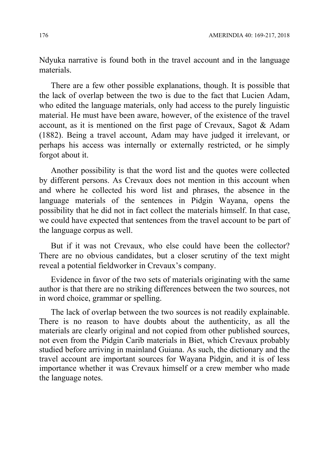Ndyuka narrative is found both in the travel account and in the language materials.

There are a few other possible explanations, though. It is possible that the lack of overlap between the two is due to the fact that Lucien Adam, who edited the language materials, only had access to the purely linguistic material. He must have been aware, however, of the existence of the travel account, as it is mentioned on the first page of Crevaux, Sagot & Adam (1882). Being a travel account, Adam may have judged it irrelevant, or perhaps his access was internally or externally restricted, or he simply forgot about it.

Another possibility is that the word list and the quotes were collected by different persons. As Crevaux does not mention in this account when and where he collected his word list and phrases, the absence in the language materials of the sentences in Pidgin Wayana, opens the possibility that he did not in fact collect the materials himself. In that case, we could have expected that sentences from the travel account to be part of the language corpus as well.

But if it was not Crevaux, who else could have been the collector? There are no obvious candidates, but a closer scrutiny of the text might reveal a potential fieldworker in Crevaux's company.

Evidence in favor of the two sets of materials originating with the same author is that there are no striking differences between the two sources, not in word choice, grammar or spelling.

The lack of overlap between the two sources is not readily explainable. There is no reason to have doubts about the authenticity, as all the materials are clearly original and not copied from other published sources, not even from the Pidgin Carib materials in Biet, which Crevaux probably studied before arriving in mainland Guiana. As such, the dictionary and the travel account are important sources for Wayana Pidgin, and it is of less importance whether it was Crevaux himself or a crew member who made the language notes.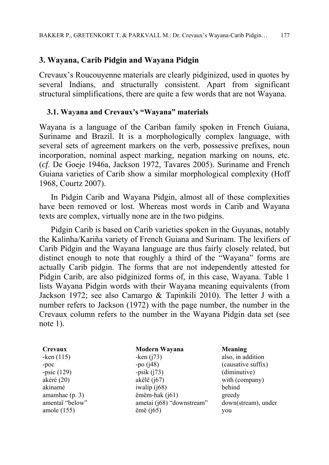# **3. Wayana, Carib Pidgin and Wayana Pidgin**

Crevaux's Roucouyenne materials are clearly pidginized, used in quotes by several Indians, and structurally consistent. Apart from significant structural simplifications, there are quite a few words that are not Wayana.

### **3.1. Wa**y**ana and Crevaux's "Wayana" materials**

Wayana is a language of the Cariban family spoken in French Guiana, Suriname and Brazil. It is a morphologically complex language, with several sets of agreement markers on the verb, possessive prefixes, noun incorporation, nominal aspect marking, negation marking on nouns, etc. (*cf*. De Goeje 1946a, Jackson 1972, Tavares 2005). Suriname and French Guiana varieties of Carib show a similar morphological complexity (Hoff 1968, Courtz 2007).

In Pidgin Carib and Wayana Pidgin, almost all of these complexities have been removed or lost. Whereas most words in Carib and Wayana texts are complex, virtually none are in the two pidgins.

Pidgin Carib is based on Carib varieties spoken in the Guyanas, notably the Kalinha/Kariña variety of French Guiana and Surinam. The lexifiers of Carib Pidgin and the Wayana language are thus fairly closely related, but distinct enough to note that roughly a third of the "Wayana" forms are actually Carib pidgin. The forms that are not independently attested for Pidgin Carib, are also pidginized forms of, in this case, Wayana. Table 1 lists Wayana Pidgin words with their Wayana meaning equivalents (from Jackson 1972; see also Camargo & Tapinkili 2010). The letter J with a number refers to Jackson (1972) with the page number, the number in the Crevaux column refers to the number in the Wayana Pidgin data set (see note 1).

**Crevaux Modern Wayana Meaning** -ken (115) -ken (j73) also, in addition -poc -po (j48) -po (j48) (causative suffix) -psic (129) -psik (j73) (diminutive) akéré (20) akëlë (j67) with (company) akinamé iwalip (j68) behind amamhac (p. 3) emëm-hak (j61) greedy amentaï "below" ametai (j68) "downstream" down(stream), under amole (155) ëmë (j65) you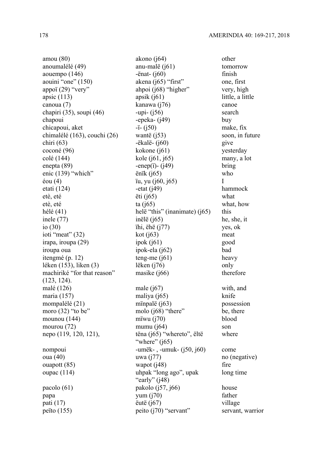machiriké "for that reason" (123, 124). nepo (119, 120, 121), tëna (j65) "whereto", ëltë oupac (114) uhpak "long ago", upak

amou (80) akono (j64) other anoumalélé (49) anu-malë (j61) tomorrow aouempo  $(146)$  -ënat- $(j60)$  finish aouini "one" (150) akena (j65) "first" one, first appoï (29) "very" ahpoi (j68) "higher" very, high apsic (113) apsik (j61) little, a little canoua (7) kanawa (j76) canoe chapiri (35), soupi (46) -upi- (j56) search chapoui -epeka- (j49) buy chicapoui, aket -ï- (j50) make, fix chimalélé (163), couchi (26) wantë (j53) soon, in future chiri (63) -ëkalë- (j60) give coconé (96) kokone (j61) yesterday  $\text{col\'e}(144)$  kole (j61, j65) many, a lot enepta  $(89)$  -enep(i)-  $(i49)$  bring enic (139) "which" ënïk (j65) who éou (4) ïu, yu (j60, j65) I etati (124) -etat (j49) -etat hammock etè, eté ëti (j65) what etè, eté ta (j65) ta (j65) what, how hélé (41) helë "this" (inanimate) (j65) this inele (77) inëlë (j65) he, she, it io (30) ïhi, ëhë (j77) yes, ok ioti "meat" (32) kot (j63) meat  $i$ rapa, iroupa (29)  $i$ pok (j $61$ ) good iroupa oua ipok-ela (j62) bad itengmé (p. 12) teng-me (j61) heavy léken (153), liken (3) lëken (j76) only masike (j66) therefore malé (126) male (j67) with, and maria (157) maliya (j65) knife mompalélé (21) mïnpalë (j63) possession moro (32) "to be" molo (j68) "there" be, there mounou (144) mïwu (j70) blood mourou  $(72)$  mumu  $(j64)$  son "where"  $(i65)$ nompoui -umëk-, -umuk- (j50, j60) come oua (40) wwa (j77) no (negative)  $ouapott (85)$  wapot  $(i48)$  fire "early"  $(i48)$  $pacolo (61)$  pakolo  $(i57, i66)$  house papa yum (j70) father pati (17) eutë (j67) village peïto (155) peito (j70) "servant" servant, warrior

where long time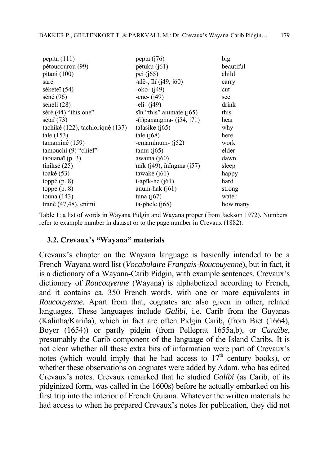| pepita $(111)$                   | pepta $(j76)$                                                    | big       |
|----------------------------------|------------------------------------------------------------------|-----------|
| pétoucourou (99)                 | pëtuku (j61)                                                     | beautiful |
| pitani (100)                     | pëi (j65)                                                        | child     |
| saré                             | -alë-, ili $(i49, i60)$                                          | carry     |
| sékéteï (54)                     | -oko- ( <i>j</i> 49)                                             | cut       |
| séné (96)                        | -ene- $(i49)$                                                    | see       |
| senéli (28)                      | $-$ eli $-$ (j49)                                                | drink     |
| séré (44) "this one"             | sïn "this" animate $(j65)$                                       | this      |
| sétaï (73)                       | $-(i)$ panangma- $(j54, j71)$                                    | hear      |
| tachiké (122), tachioriqué (137) | talasike $(i65)$                                                 | why       |
| tale $(153)$                     | tale $(i68)$                                                     | here      |
| tamaminé (159)                   | -emaminum- $(i52)$                                               | work      |
| tamouchi (9) "chief"             | $tamu$ (j $65$ )                                                 | elder     |
| taouanaï $(p. 3)$                | awaina $(i60)$                                                   | dawn      |
| tiniksé $(25)$                   | $\text{inik}$ ( $\text{i}49$ ), $\text{inigma}$ ( $\text{i}57$ ) | sleep     |
| toaké $(53)$                     | tawake $(i61)$                                                   | happy     |
| toppé $(p, 8)$                   | t-apik-he $(j61)$                                                | hard      |
| toppé $(p, 8)$                   | anum-hak $(j61)$                                                 | strong    |
| touna $(143)$                    | tuna $(j67)$                                                     | water     |
| trané $(47, 48)$ , enimi         | ta-phele $(i65)$                                                 | how many  |

Table 1: a list of words in Wayana Pidgin and Wayana proper (from Jackson 1972). Numbers refer to example number in dataset or to the page number in Crevaux (1882).

#### **3.2. Crevaux's "Wayana" materials**

Crevaux's chapter on the Wayana language is basically intended to be a French-Wayana word list (*Vocabulaire Français-Roucouyenne*), but in fact, it is a dictionary of a Wayana-Carib Pidgin, with example sentences. Crevaux's dictionary of *Roucouyenne* (Wayana) is alphabetized according to French, and it contains ca. 350 French words, with one or more equivalents in *Roucouyenne*. Apart from that, cognates are also given in other, related languages. These languages include *Galibi*, i.e. Carib from the Guyanas (Kalinha/Kariña), which in fact are often Pidgin Carib, (from Biet (1664), Boyer (1654)) or partly pidgin (from Pelleprat 1655a,b), or *Caraïbe*, presumably the Carib component of the language of the Island Caribs. It is not clear whether all these extra bits of information were part of Crevaux's notes (which would imply that he had access to  $17<sup>th</sup>$  century books), or whether these observations on cognates were added by Adam, who has edited Crevaux's notes. Crevaux remarked that he studied *Galibi* (as Carib, of its pidginized form, was called in the 1600s) before he actually embarked on his first trip into the interior of French Guiana. Whatever the written materials he had access to when he prepared Crevaux's notes for publication, they did not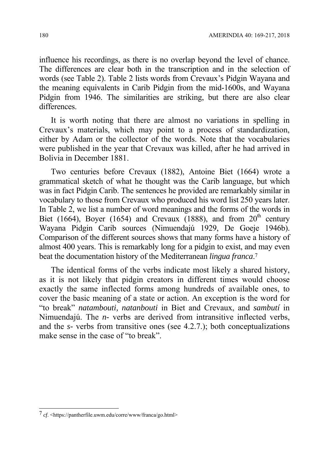influence his recordings, as there is no overlap beyond the level of chance. The differences are clear both in the transcription and in the selection of words (see Table 2). Table 2 lists words from Crevaux's Pidgin Wayana and the meaning equivalents in Carib Pidgin from the mid-1600s, and Wayana Pidgin from 1946. The similarities are striking, but there are also clear differences.

It is worth noting that there are almost no variations in spelling in Crevaux's materials, which may point to a process of standardization, either by Adam or the collector of the words. Note that the vocabularies were published in the year that Crevaux was killed, after he had arrived in Bolivia in December 1881.

Two centuries before Crevaux (1882), Antoine Biet (1664) wrote a grammatical sketch of what he thought was the Carib language, but which was in fact Pidgin Carib. The sentences he provided are remarkably similar in vocabulary to those from Crevaux who produced his word list 250 years later. In Table 2, we list a number of word meanings and the forms of the words in Biet (1664), Boyer (1654) and Crevaux (1888), and from  $20<sup>th</sup>$  century Wayana Pidgin Carib sources (Nimuendajú 1929, De Goeje 1946b). Comparison of the different sources shows that many forms have a history of almost 400 years. This is remarkably long for a pidgin to exist, and may even beat the documentation history of the Mediterranean *lingua franca*.7

The identical forms of the verbs indicate most likely a shared history, as it is not likely that pidgin creators in different times would choose exactly the same inflected forms among hundreds of available ones, to cover the basic meaning of a state or action. An exception is the word for "to break" *natambouti, natanbouti* in Biet and Crevaux, and *sambutí* in Nimuendajú. The *n-* verbs are derived from intransitive inflected verbs, and the *s-* verbs from transitive ones (see 4.2.7.); both conceptualizations make sense in the case of "to break".

1

<sup>7</sup> *cf*. <https://pantherfile.uwm.edu/corre/www/franca/go.html>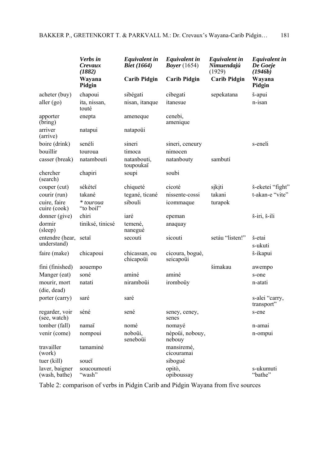|                                 | Verbs in<br>Crevaux<br>(1882) | <b>Equivalent in</b><br><b>Biet</b> (1664) | <b>Equivalent in</b><br><i>Boyer</i> $(1654)$ | <b>Equivalent in</b><br>Nimuendajú<br>(1929) | <b>Equivalent in</b><br>De Goeje<br>(1946b) |
|---------------------------------|-------------------------------|--------------------------------------------|-----------------------------------------------|----------------------------------------------|---------------------------------------------|
|                                 | Wayana<br>Pidgin              | <b>Carib Pidgin</b>                        | <b>Carib Pidgin</b>                           | <b>Carib Pidgin</b>                          | Wayana<br>Pidgin                            |
| acheter (buy)                   | chapoui                       | sibégati                                   | cibegati                                      | sepekatana                                   | š-apui                                      |
| aller $(go)$                    | ita, nissan,<br>touté         | nisan, itanque                             | itanesue                                      |                                              | n-isan                                      |
| apporter<br>(bring)             | enepta                        | ameneque                                   | cenebi,<br>amenique                           |                                              |                                             |
| arriver<br>(arrive)             | natapui                       | natapoüi                                   |                                               |                                              |                                             |
| boire (drink)                   | senéli                        | sineri                                     | sineri, ceneury                               |                                              | s-eneli                                     |
| bouillir                        | touroua                       | timoca                                     | nimocen                                       |                                              |                                             |
| casser (break)                  | natambouti                    | natanbouti,<br>toupoukaï                   | natanbouty                                    | sambutí                                      |                                             |
| chercher<br>(search)            | chapiri                       | soupi                                      | soubi                                         |                                              |                                             |
| couper (cut)                    | sékéteï                       | chiqueté                                   | cicoté                                        | sįkįti                                       | š-eketei "fight"                            |
| courir (run)                    | takané                        | tegané, ticané                             | nissente-cossi                                | takani                                       | t-akan-e "vite"                             |
| cuire, faire<br>cuire (cook)    | * touroua<br>"to boil"        | sibouli                                    | icommaque                                     | turapok                                      |                                             |
| donner (give)                   | chiri                         | iaré                                       | epeman                                        |                                              | š-iri, š-ili                                |
| dormir<br>(sleep)               | tiniksé, tinicsé              | temené,<br>nanegué                         | anaquay                                       |                                              |                                             |
| entendre (hear,<br>understand)  | setaï                         | secouti                                    | sicouti                                       | setáu "listen!"                              | š-etai<br>s-ukuti                           |
| faire (make)                    | chicapoui                     | chicassan, ou<br>chicapoüi                 | cicoura, bogué,<br>seicapoüi                  |                                              | š-ikapui                                    |
| fini (finished)                 | aouempo                       |                                            |                                               | šimakau                                      | awempo                                      |
| Manger (eat)                    | soné                          | aminé                                      | aminé                                         |                                              | s-one                                       |
| mourir, mort                    | natati                        | niramboüi                                  | iromboüy                                      |                                              | n-atati                                     |
| (die, dead)                     |                               |                                            |                                               |                                              |                                             |
| porter (carry)                  | saré                          | saré                                       |                                               |                                              | s-alei "carry,<br>transport"                |
| regarder, voir<br>(see, watch)  | séné                          | sené                                       | seney, ceney,<br>senes                        |                                              | s-ene                                       |
| tomber (fall)                   | namaï                         | nomé                                       | nomayé                                        |                                              | n-amai                                      |
| venir (come)                    | nompoui                       | noboüi,<br>seneboüi                        | népoüi, nobouy,<br>nebouy                     |                                              | n-ompui                                     |
| travailler<br>(work)            | tamaminé                      |                                            | mansiremé,<br>cicouramai                      |                                              |                                             |
| tuer (kill)                     | soueï                         |                                            | sibogué                                       |                                              |                                             |
| laver, baigner<br>(wash, bathe) | soucoumouti<br>"wash"         |                                            | opitò,<br>opiboussay                          |                                              | s-ukumuti<br>"bathe"                        |

Table 2: comparison of verbs in Pidgin Carib and Pidgin Wayana from five sources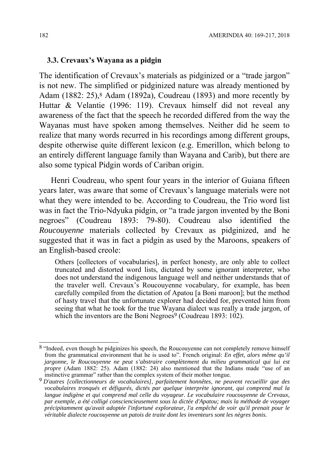#### **3.3. Crevaux's Wayana as a pidgin**

The identification of Crevaux's materials as pidginized or a "trade jargon" is not new. The simplified or pidginized nature was already mentioned by Adam  $(1882: 25)$ ,  $(8)$  Adam  $(1892a)$ , Coudreau  $(1893)$  and more recently by Huttar & Velantie (1996: 119). Crevaux himself did not reveal any awareness of the fact that the speech he recorded differed from the way the Wayanas must have spoken among themselves. Neither did he seem to realize that many words recurred in his recordings among different groups, despite otherwise quite different lexicon (e.g. Emerillon, which belong to an entirely different language family than Wayana and Carib), but there are also some typical Pidgin words of Cariban origin.

Henri Coudreau, who spent four years in the interior of Guiana fifteen years later, was aware that some of Crevaux's language materials were not what they were intended to be. According to Coudreau, the Trio word list was in fact the Trio-Ndyuka pidgin, or "a trade jargon invented by the Boni negroes" (Coudreau 1893: 79-80). Coudreau also identified the *Roucouyenne* materials collected by Crevaux as pidginized, and he suggested that it was in fact a pidgin as used by the Maroons, speakers of an English-based creole:

Others [collectors of vocabularies], in perfect honesty, are only able to collect truncated and distorted word lists, dictated by some ignorant interpreter, who does not understand the indigenous language well and neither understands that of the traveler well. Crevaux's Roucouyenne vocabulary, for example, has been carefully compiled from the dictation of Apatou [a Boni maroon]; but the method of hasty travel that the unfortunate explorer had decided for, prevented him from seeing that what he took for the true Wayana dialect was really a trade jargon, of which the inventors are the Boni Negroes<sup>9</sup> (Coudreau 1893: 102).

1

<sup>&</sup>lt;sup>8</sup> "Indeed, even though he pidginizes his speech, the Roucouyenne can not completely remove himself from the grammatical environment that he is used to". French original: *En effet, alors même qu'il jargonne, le Roucouyenne ne peut s'abstraire complètement du milieu grammatical qui lui est propre* (Adam 1882: 25). Adam (1882: 24) also mentioned that the Indians made "use of an instinctive grammar" rather than the complex system of their mother tongue.

instinctive grammar" rather than the complex system of their mother tongue. 9 *D'autres [collectionneurs de vocabulaires], parfaitement honnêtes, ne peuvent recueillir que des vocabulaires tronqués et défigurés, dictés par quelque interprète ignorant, qui comprend mal la langue indigène et qui comprend mal celle du voyageur. Le vocabulaire roucouyenne de Crevaux, par exemple, a été colligé consciencieusement sous la dictée d'Apatou; mais la méthode de voyager précipitamment qu'avait adoptée l'infortuné explorateur, l'a empêché de voir qu'il prenait pour le véritable dialecte roucouyenne un patois de traite dont les inventeurs sont les nègres bonis.*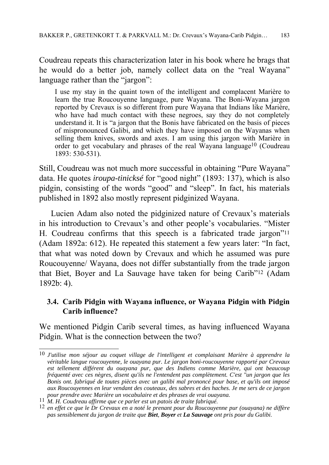Coudreau repeats this characterization later in his book where he brags that he would do a better job, namely collect data on the "real Wayana" language rather than the "jargon":

I use my stay in the quaint town of the intelligent and complacent Marière to learn the true Roucouyenne language, pure Wayana. The Boni-Wayana jargon reported by Crevaux is so different from pure Wayana that Indians like Marière, who have had much contact with these negroes, say they do not completely understand it. It is "a jargon that the Bonis have fabricated on the basis of pieces of mispronounced Galibi, and which they have imposed on the Wayanas when selling them knives, swords and axes. I am using this jargon with Marière in order to get vocabulary and phrases of the real Wayana language<sup>10</sup> (Coudreau 1893: 530-531).

Still, Coudreau was not much more successful in obtaining "Pure Wayana" data. He quotes *iroupa-tinicksé* for "good night" (1893: 137), which is also pidgin, consisting of the words "good" and "sleep". In fact, his materials published in 1892 also mostly represent pidginized Wayana.

Lucien Adam also noted the pidginized nature of Crevaux's materials in his introduction to Crevaux's and other people's vocabularies. "Mister H. Coudreau confirms that this speech is a fabricated trade jargon"11 (Adam 1892a: 612). He repeated this statement a few years later: "In fact, that what was noted down by Crevaux and which he assumed was pure Roucouyenne/ Wayana, does not differ substantially from the trade jargon that Biet, Boyer and La Sauvage have taken for being Carib"12 (Adam 1892b: 4).

# **3.4. Carib Pidgin with Wayana influence, or Wayana Pidgin with Pidgin Carib influence?**

We mentioned Pidgin Carib several times, as having influenced Wayana Pidgin. What is the connection between the two?

<sup>1</sup> 10 *J'utilise mon séjour au coquet village de l'intelligent et complaisant Marière à apprendre la véritable langue roucouyenne, le ouayana pur. Le jargon boni-roucouyenne rapporté par Crevaux*  est tellement différent du ouayana pur, que des Indiens comme Marière, qui ont beaucoup *fréquenté avec ces nègres, disent qu'ils ne l'entendent pas complètement. C'est "un jargon que les Bonis ont. fabriqué de toutes pièces avec un galibi mal prononcé pour base, et qu'ils ont imposé aux Roucouyennes en leur vendant des couteaux, des sabres et des haches. Je me sers de ce jargon*  pour prendre avec Marière un vocabulaire et des phrases de vrai ouayana.<br>
11 M. H. Coudreau affirme que ce parler est un patois de traite fabriqué.<br>
12 en effet ce que le Dr Crevaux en a noté le prenant pour du Roucouyenne

*pas sensiblement du jargon de traite que Biet, Boyer et La Sauvage ont pris pour du Galibi*.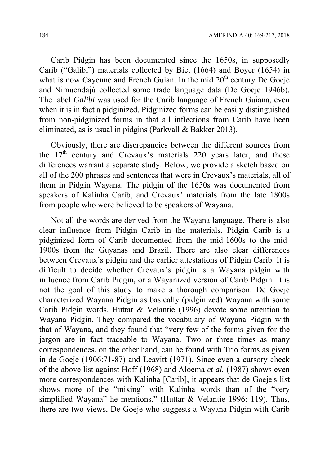Carib Pidgin has been documented since the 1650s, in supposedly Carib ("Galibi") materials collected by Biet (1664) and Boyer (1654) in what is now Cayenne and French Guian. In the mid  $20<sup>th</sup>$  century De Goeje and Nimuendajú collected some trade language data (De Goeje 1946b). The label *Galibi* was used for the Carib language of French Guiana, even when it is in fact a pidginized. Pidginized forms can be easily distinguished from non-pidginized forms in that all inflections from Carib have been eliminated, as is usual in pidgins (Parkvall & Bakker 2013).

Obviously, there are discrepancies between the different sources from the  $17<sup>th</sup>$  century and Crevaux's materials 220 years later, and these differences warrant a separate study. Below, we provide a sketch based on all of the 200 phrases and sentences that were in Crevaux's materials, all of them in Pidgin Wayana. The pidgin of the 1650s was documented from speakers of Kalinha Carib, and Crevaux' materials from the late 1800s from people who were believed to be speakers of Wayana.

Not all the words are derived from the Wayana language. There is also clear influence from Pidgin Carib in the materials. Pidgin Carib is a pidginized form of Carib documented from the mid-1600s to the mid-1900s from the Guyanas and Brazil. There are also clear differences between Crevaux's pidgin and the earlier attestations of Pidgin Carib. It is difficult to decide whether Crevaux's pidgin is a Wayana pidgin with influence from Carib Pidgin, or a Wayanized version of Carib Pidgin. It is not the goal of this study to make a thorough comparison. De Goeje characterized Wayana Pidgin as basically (pidginized) Wayana with some Carib Pidgin words. Huttar & Velantie (1996) devote some attention to Wayana Pidgin. They compared the vocabulary of Wayana Pidgin with that of Wayana, and they found that "very few of the forms given for the jargon are in fact traceable to Wayana. Two or three times as many correspondences, on the other hand, can be found with Trio forms as given in de Goeje (1906:71-87) and Leavitt (1971). Since even a cursory check of the above list against Hoff (1968) and Aloema *et al.* (1987) shows even more correspondences with Kalinha [Carib], it appears that de Goeje's list shows more of the "mixing" with Kalinha words than of the "very simplified Wayana" he mentions." (Huttar & Velantie 1996: 119). Thus, there are two views, De Goeje who suggests a Wayana Pidgin with Carib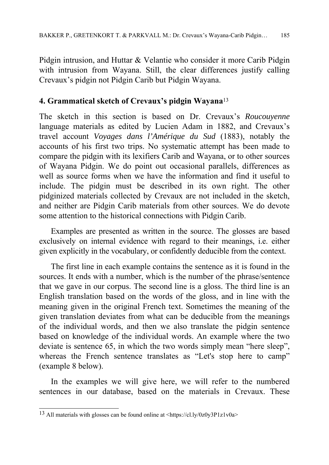Pidgin intrusion, and Huttar & Velantie who consider it more Carib Pidgin with intrusion from Wayana. Still, the clear differences justify calling Crevaux's pidgin not Pidgin Carib but Pidgin Wayana.

# **4. Grammatical sketch of Crevaux's pidgin Wayana**<sup>13</sup>

The sketch in this section is based on Dr. Crevaux's *Roucouyenne* language materials as edited by Lucien Adam in 1882, and Crevaux's travel account *Voyages dans l'Amérique du Sud* (1883), notably the accounts of his first two trips. No systematic attempt has been made to compare the pidgin with its lexifiers Carib and Wayana, or to other sources of Wayana Pidgin. We do point out occasional parallels, differences as well as source forms when we have the information and find it useful to include. The pidgin must be described in its own right. The other pidginized materials collected by Crevaux are not included in the sketch, and neither are Pidgin Carib materials from other sources. We do devote some attention to the historical connections with Pidgin Carib.

Examples are presented as written in the source. The glosses are based exclusively on internal evidence with regard to their meanings, i.e. either given explicitly in the vocabulary, or confidently deducible from the context.

The first line in each example contains the sentence as it is found in the sources. It ends with a number, which is the number of the phrase/sentence that we gave in our corpus. The second line is a gloss. The third line is an English translation based on the words of the gloss, and in line with the meaning given in the original French text. Sometimes the meaning of the given translation deviates from what can be deducible from the meanings of the individual words, and then we also translate the pidgin sentence based on knowledge of the individual words. An example where the two deviate is sentence 65, in which the two words simply mean "here sleep", whereas the French sentence translates as "Let's stop here to camp" (example 8 below).

In the examples we will give here, we will refer to the numbered sentences in our database, based on the materials in Crevaux. These

<sup>1</sup> 13 All materials with glosses can be found online at <https://cl.ly/0z0y3P1z1v0a>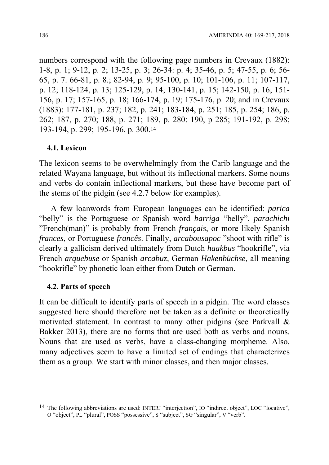numbers correspond with the following page numbers in Crevaux (1882): 1-8, p. 1; 9-12, p. 2; 13-25, p. 3; 26-34: p. 4; 35-46, p. 5; 47-55, p. 6; 56- 65, p. 7. 66-81, p. 8.; 82-94, p. 9; 95-100, p. 10; 101-106, p. 11; 107-117, p. 12; 118-124, p. 13; 125-129, p. 14; 130-141, p. 15; 142-150, p. 16; 151- 156, p. 17; 157-165, p. 18; 166-174, p. 19; 175-176, p. 20; and in Crevaux (1883): 177-181, p. 237; 182, p. 241; 183-184, p. 251; 185, p. 254; 186, p. 262; 187, p. 270; 188, p. 271; 189, p. 280: 190, p 285; 191-192, p. 298; 193-194, p. 299; 195-196, p. 300.14

#### **4.1. Lexicon**

The lexicon seems to be overwhelmingly from the Carib language and the related Wayana language, but without its inflectional markers. Some nouns and verbs do contain inflectional markers, but these have become part of the stems of the pidgin (see 4.2.7 below for examples).

A few loanwords from European languages can be identified: *parica*  "belly" is the Portuguese or Spanish word *barriga* "belly", *parachichi*  "French(man)" is probably from French *français*, or more likely Spanish *frances*, or Portuguese *francês*. Finally, *arcabousapoc* "shoot with rifle" is clearly a gallicism derived ultimately from Dutch *haakbus* "hookrifle", via French *arquebuse* or Spanish *arcabuz,* German *Hakenbüchse,* all meaning "hookrifle" by phonetic loan either from Dutch or German.

#### **4.2. Parts of speech**

1

It can be difficult to identify parts of speech in a pidgin. The word classes suggested here should therefore not be taken as a definite or theoretically motivated statement. In contrast to many other pidgins (see Parkvall & Bakker 2013), there are no forms that are used both as verbs and nouns. Nouns that are used as verbs, have a class-changing morpheme. Also, many adjectives seem to have a limited set of endings that characterizes them as a group. We start with minor classes, and then major classes.

<sup>14</sup> The following abbreviations are used: INTERJ "interjection", IO "indirect object", LOC "locative", O "object", PL "plural", POSS "possessive", S "subject", SG "singular", V "verb".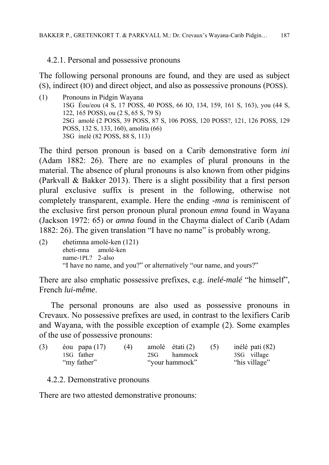4.2.1. Personal and possessive pronouns

The following personal pronouns are found, and they are used as subject (S), indirect (IO) and direct object, and also as possessive pronouns (POSS).

(1) Pronouns in Pidgin Wayana 1SG Éou/eou (4 S, 17 POSS, 40 POSS, 66 IO, 134, 159, 161 S, 163), you (44 S, 122, 165 POSS), ou (2 S, 65 S, 79 S) 2SG amolé (2 POSS, 39 POSS, 87 S, 106 POSS, 120 POSS?, 121, 126 POSS, 129 POSS, 132 S, 133, 160), amolita (66) 3SG inelé (82 POSS, 88 S, 113)

The third person pronoun is based on a Carib demonstrative form *ini* (Adam 1882: 26). There are no examples of plural pronouns in the material. The absence of plural pronouns is also known from other pidgins (Parkvall & Bakker 2013). There is a slight possibility that a first person plural exclusive suffix is present in the following, otherwise not completely transparent, example. Here the ending *-mna* is reminiscent of the exclusive first person pronoun plural pronoun *emna* found in Wayana (Jackson 1972: 65) or *amna* found in the Chayma dialect of Carib (Adam 1882: 26). The given translation "I have no name" is probably wrong.

(2) ehetimna amolé-ken (121) eheti-mna amolé-ken name-1PL? 2-also "I have no name, and you?" or alternatively "our name, and yours?"

There are also emphatic possessive prefixes, e.g. *inelé-malé* "he himself", French *lui-même*.

The personal pronouns are also used as possessive pronouns in Crevaux. No possessive prefixes are used, in contrast to the lexifiers Carib and Wayana, with the possible exception of example (2). Some examples of the use of possessive pronouns:

| (3) | éou papa $(17)$ | (4) | amolé étati (2) | (5) | inélé pati (82) |
|-----|-----------------|-----|-----------------|-----|-----------------|
|     | 1SG father      |     | 2SG hammock     |     | 3SG village     |
|     | "my father"     |     | "your hammock"  |     | "his village"   |

4.2.2. Demonstrative pronouns

There are two attested demonstrative pronouns: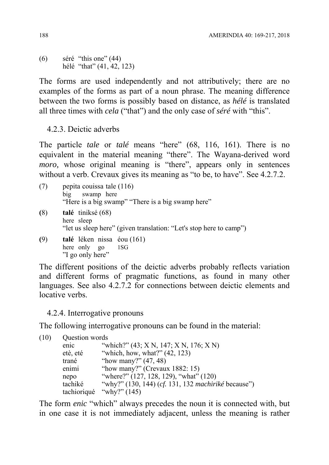$(6)$  séré "this one"  $(44)$ hélé "that" (41, 42, 123)

The forms are used independently and not attributively; there are no examples of the forms as part of a noun phrase. The meaning difference between the two forms is possibly based on distance, as *hélé* is translated all three times with *cela* ("that") and the only case of *séré* with "this".

4.2.3. Deictic adverbs

The particle *tale* or *talé* means "here" (68, 116, 161). There is no equivalent in the material meaning "there". The Wayana-derived word *moro*, whose original meaning is "there", appears only in sentences without a verb. Crevaux gives its meaning as "to be, to have". See 4.2.7.2.

- (7) pepita couissa tale (116) big swamp here "Here is a big swamp" "There is a big swamp here" **(**8) **talé** tiniksé (68) here sleep "let us sleep here" (given translation: "Let's stop here to camp") **(**9) **talé** léken nissa éou (161) here only go 1SG
- "I go only here"

The different positions of the deictic adverbs probably reflects variation and different forms of pragmatic functions, as found in many other languages. See also 4.2.7.2 for connections between deictic elements and locative verbs.

4.2.4. Interrogative pronouns

The following interrogative pronouns can be found in the material:

| (10) | Question words |                                                     |
|------|----------------|-----------------------------------------------------|
|      | enic           | "which?" (43; X N, 147; X N, 176; X N)              |
|      | etè, eté       | "which, how, what?" $(42, 123)$                     |
|      | trané          | "how many?" $(47, 48)$                              |
|      | enimi          | "how many?" (Crevaux $1882:15$ )                    |
|      | nepo           | "where?" (127, 128, 129), "what" (120)              |
|      | tachiké        | "why?" (130, 144) (cf. 131, 132 machiriké because") |
|      |                | tachioriqué "why?" $(145)$                          |

The form *enic* "which" always precedes the noun it is connected with, but in one case it is not immediately adjacent, unless the meaning is rather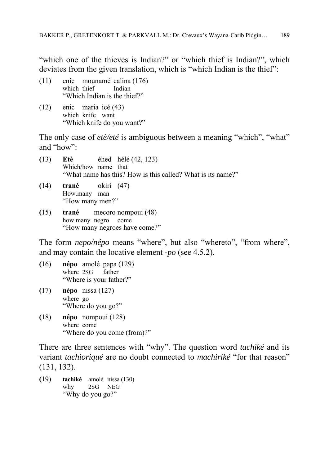"which one of the thieves is Indian?" or "which thief is Indian?", which deviates from the given translation, which is "which Indian is the thief":

- (11) enic mounamé calina (176) which thief Indian "Which Indian is the thief?"
- (12) enic maria icé (43) which knife want "Which knife do you want?"

The only case of *etè/eté* is ambiguous between a meaning "which", "what" and "how":

- **(**13) **Etè** éhed hélé (42, 123) Which/how name that "What name has this? How is this called? What is its name?"
- **(**14) **trané** okiri (47) How.many man "How many men?"
- **(**15) **trané** mecoro nompoui (48) how.many negro come "How many negroes have come?"

The form *nepo/népo* means "where", but also "whereto", "from where", and may contain the locative element *-po* (see 4.5.2).

- **(**16) **népo** amolé papa (129) where 2SG father "Where is your father?"
- **(**17) **népo** nissa (127) where go "Where do you go?"
- **(**18) **népo** nompoui (128) where come "Where do you come (from)?"

There are three sentences with "why". The question word *tachiké* and its variant *tachioriqué* are no doubt connected to *machiriké* "for that reason" (131, 132).

**(**19) **tachiké** amolé nissa (130) why 2SG NEG "Why do you go?"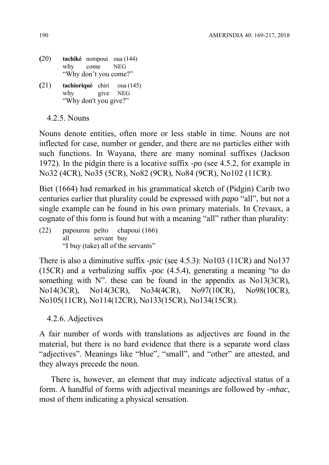- **(**20) **tachiké** nompoui oua (144) why come NEG "Why don't you come?"
- **(**21) **tachioriqué** chiri oua (145) why give NEG "Why don't you give?"

4.2.5. Nouns

Nouns denote entities, often more or less stable in time. Nouns are not inflected for case, number or gender, and there are no particles either with such functions. In Wayana, there are many nominal suffixes (Jackson 1972). In the pidgin there is a locative suffix *-po* (see 4.5.2, for example in No32 (4CR), No35 (5CR), No82 (9CR), No84 (9CR), No102 (11CR).

Biet (1664) had remarked in his grammatical sketch of (Pidgin) Carib two centuries earlier that plurality could be expressed with *papo* "all", but not a single example can be found in his own primary materials. In Crevaux, a cognate of this form is found but with a meaning "all" rather than plurality:

(22) papourou peïto chapoui (166) all servant buy "I buy (take) all of the servants"

There is also a diminutive suffix *-psic* (see 4.5.3): No103 (11CR) and No137 (15CR) and a verbalizing suffix *-poc* (4.5.4), generating a meaning "to do something with N", these can be found in the appendix as No13(3CR), No14(3CR), No14(3CR), No34(4CR), No97(10CR), No98(10CR), No105(11CR), No114(12CR), No133(15CR), No134(15CR).

4.2.6. Adjectives

A fair number of words with translations as adjectives are found in the material, but there is no hard evidence that there is a separate word class "adjectives". Meanings like "blue", "small", and "other" are attested, and they always precede the noun.

There is, however, an element that may indicate adjectival status of a form. A handful of forms with adjectival meanings are followed by *-mhac*, most of them indicating a physical sensation.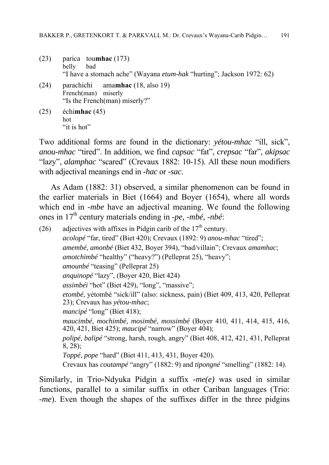- (23) parica tou**mhac** (173) belly bad "I have a stomach ache" (Wayana *etum-hak* "hurting"; Jackson 1972: 62)
- (24) parachichi ama**mhac** (18, also 19) French(man) miserly "Is the French(man) miserly?"
- (25) échi**mhac** (45) hot "it is hot"

Two additional forms are found in the dictionary: *yétou-mhac* "ill, sick", *anou-mhac* "tired". In addition, we find *capsac* "fat", *crepsac* "far", *akipsac* "lazy", *alamphac* "scared" (Crevaux 1882: 10-15). All these noun modifiers with adjectival meanings end in *-hac* or *-sac*.

As Adam (1882: 31) observed, a similar phenomenon can be found in the earlier materials in Biet (1664) and Boyer (1654), where all words which end in *-mbe* have an adjectival meaning. We found the following ones in 17th century materials ending in *-pe, -mbé, -nbé*:

(26) adjectives with affixes in Pidgin carib of the  $17<sup>th</sup>$  century. *acolopé* "far, tired" (Biet 420); Crevaux (1892: 9) *anou-mhac* "tired"; *amembé, amonbé* (Biet 432, Boyer 394), "bad/villain"; Crevaux *amamhac*; *amotchimbé* "healthy" ("heavy?") (Pelleprat 25), "heavy"; *amounbé* "teasing" (Pelleprat 25) *anquinopé* "lazy", (Boyer 420, Biet 424) *assimbéi* "hot" (Biet 429), "long", "massive"; *etombé*, yétombé "sick/ill" (also: sickness, pain) (Biet 409, 413, 420, Pelleprat 23); Crevaux has *yétou-mhac*; *mancipé* "long" (Biet 418); *maucimbé*, *mochimbé*, *mosimbé*, *mossimbé* (Boyer 410, 411, 414, 415, 416, 420, 421, Biet 425); *maucipé* "narrow" (Boyer 404); *polipé, balipé* "strong, harsh, rough, angry" (Biet 408, 412, 421, 431, Pelleprat 8, 28); *Toppé, pope* "hard" (Biet 411, 413, 431, Boyer 420). Crevaux has *coutampé* "angry" (1882: 9) and *tipongné* "smelling" (1882: 14).

Similarly, in Trio-Ndyuka Pidgin a suffix *-me(e)* was used in similar functions, parallel to a similar suffix in other Cariban languages (Trio: *-me*). Even though the shapes of the suffixes differ in the three pidgins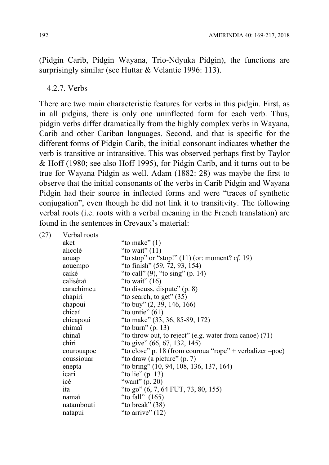(Pidgin Carib, Pidgin Wayana, Trio-Ndyuka Pidgin), the functions are surprisingly similar (see Huttar & Velantie 1996: 113).

#### 4.2.7. Verbs

There are two main characteristic features for verbs in this pidgin. First, as in all pidgins, there is only one uninflected form for each verb. Thus, pidgin verbs differ dramatically from the highly complex verbs in Wayana, Carib and other Cariban languages. Second, and that is specific for the different forms of Pidgin Carib, the initial consonant indicates whether the verb is transitive or intransitive. This was observed perhaps first by Taylor & Hoff (1980; see also Hoff 1995), for Pidgin Carib, and it turns out to be true for Wayana Pidgin as well. Adam (1882: 28) was maybe the first to observe that the initial consonants of the verbs in Carib Pidgin and Wayana Pidgin had their source in inflected forms and were "traces of synthetic conjugation", even though he did not link it to transitivity. The following verbal roots (i.e. roots with a verbal meaning in the French translation) are found in the sentences in Crevaux's material:

| (27) | Verbal roots |                                                          |
|------|--------------|----------------------------------------------------------|
|      | aket         | "to make" $(1)$                                          |
|      | alicolé      | "to wait" $(11)$                                         |
|      | aouap        | "to stop" or "stop!" $(11)$ (or: moment? <i>cf.</i> 19)  |
|      | aouempo      | "to finish" (59, 72, 93, 154)                            |
|      | caiké        | "to call" $(9)$ , "to sing" $(p. 14)$                    |
|      | calisétaï    | "to wait" $(16)$                                         |
|      | carachimeu   | "to discuss, dispute" (p. 8)                             |
|      | chapiri      | "to search, to get" $(35)$                               |
|      | chapoui      | "to buy" $(2, 39, 146, 166)$                             |
|      | chicaï       | "to untie" $(61)$                                        |
|      | chicapoui    | "to make" (33, 36, 85-89, 172)                           |
|      | chimaï       | "to burn" $(p. 13)$                                      |
|      | chinaï       | "to throw out, to reject" (e.g. water from canoe) $(71)$ |
|      | chiri        | "to give" (66, 67, 132, 145)                             |
|      | courouapoc   | "to close" p. 18 (from couroua "rope" + verbalizer -poc) |
|      | coussiouar   | "to draw (a picture" (p. 7)                              |
|      | enepta       | "to bring" (10, 94, 108, 136, 137, 164)                  |
|      | icari        | "to lie" $(p. 13)$                                       |
|      | icé          | "want" $(p. 20)$                                         |
|      | ita          | "to go" $(6, 7, 64$ FUT, 73, 80, 155)                    |
|      | namaï        | "to fall" $(165)$                                        |
|      | natambouti   | "to break" $(38)$                                        |
|      | natapui      | "to arrive" $(12)$                                       |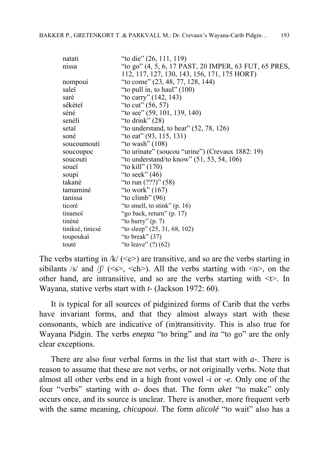| natati           | "to die" (26, 111, 119)                               |
|------------------|-------------------------------------------------------|
| nissa            | "to go" (4, 5, 6, 17 PAST, 20 IMPER, 63 FUT, 65 PRES, |
|                  | 112, 117, 127, 130, 143, 156, 171, 175 HORT)          |
| nompoui          | "to come" (23, 48, 77, 128, 144)                      |
| saleï            | "to pull in, to haul" $(100)$                         |
| saré             | "to carry" (142, 143)                                 |
| sékéteï          | "to cut" $(56, 57)$                                   |
| séné             | "to see" $(59, 101, 139, 140)$                        |
| senéli           | "to drink" $(28)$                                     |
| setaï            | "to understand, to hear" $(52, 78, 126)$              |
| soné             | "to eat" $(93, 115, 131)$                             |
| soucoumouti      | "to wash" $(108)$                                     |
| soucoupoc        | "to urinate" (soucou "urine") (Crevaux 1882: 19)      |
| soucouti         | "to understand/to know" $(51, 53, 54, 106)$           |
| soueï            | "to kill" $(170)$                                     |
| soupi            | "to seek" $(46)$                                      |
| takané           | "to run $(???)$ " (58)                                |
| tamaminé         | "to work" $(167)$                                     |
| tanissa          | "to climb" $(96)$                                     |
| ticoré           | "to smell, to stink" $(p. 16)$                        |
| tinamoï          | "go back, return" (p. 17)                             |
| tinéné           | "to hurry" $(p. 7)$                                   |
| tiniksé, tinicsé | "to sleep" $(25, 31, 68, 102)$                        |
| toupoukaï        | "to break" $(37)$                                     |
| touté            | "to leave" $(?) (62)$                                 |

The verbs starting in  $/k/ \langle \langle c \rangle$  are transitive, and so are the verbs starting in sibilants /s/ and /f/ ( $\langle s \rangle$ ,  $\langle ch \rangle$ ). All the verbs starting with  $\langle n \rangle$ , on the other hand, are intransitive, and so are the verbs starting with  $\leq t$ . In Wayana, stative verbs start with *t-* (Jackson 1972: 60).

It is typical for all sources of pidginized forms of Carib that the verbs have invariant forms, and that they almost always start with these consonants, which are indicative of (in)transitivity. This is also true for Wayana Pidgin. The verbs *enepta* "to bring" and *ita* "to go" are the only clear exceptions.

There are also four verbal forms in the list that start with *a-*. There is reason to assume that these are not verbs, or not originally verbs. Note that almost all other verbs end in a high front vowel *-i* or *-e*. Only one of the four "verbs" starting with *a-* does that. The form *aket* "to make" only occurs once, and its source is unclear. There is another, more frequent verb with the same meaning, *chicapoui*. The form *alicolé* "to wait" also has a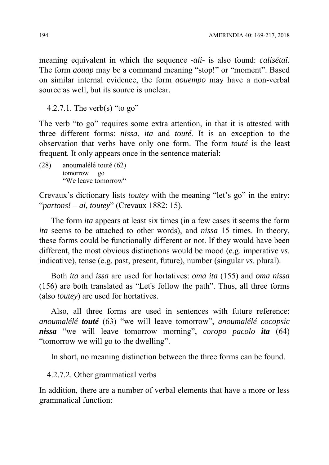meaning equivalent in which the sequence *-ali-* is also found: *calisétaï*. The form *aouap* may be a command meaning "stop!" or "moment". Based on similar internal evidence, the form *aouempo* may have a non-verbal source as well, but its source is unclear.

4.2.7.1. The verb(s) "to go"

The verb "to go" requires some extra attention, in that it is attested with three different forms: *nissa*, *ita* and *touté*. It is an exception to the observation that verbs have only one form. The form *touté* is the least frequent. It only appears once in the sentence material:

(28) anoumalélé touté (62) tomorrow go "We leave tomorrow"

Crevaux's dictionary lists *toutey* with the meaning "let's go" in the entry: "*partons!* – *aï, toutey*" (Crevaux 1882: 15).

The form *ita* appears at least six times (in a few cases it seems the form *ita* seems to be attached to other words), and *nissa* 15 times. In theory, these forms could be functionally different or not. If they would have been different, the most obvious distinctions would be mood (e.g. imperative *vs*. indicative), tense (e.g. past, present, future), number (singular *vs*. plural).

Both *ita* and *issa* are used for hortatives: *oma ita* (155) and *oma nissa* (156) are both translated as "Let's follow the path". Thus, all three forms (also *toutey*) are used for hortatives.

Also, all three forms are used in sentences with future reference: *anoumalélé touté* (63) "we will leave tomorrow", *anoumalélé cocopsic nissa* "we will leave tomorrow morning", *coropo pacolo ita* (64) "tomorrow we will go to the dwelling".

In short, no meaning distinction between the three forms can be found.

4.2.7.2. Other grammatical verbs

In addition, there are a number of verbal elements that have a more or less grammatical function: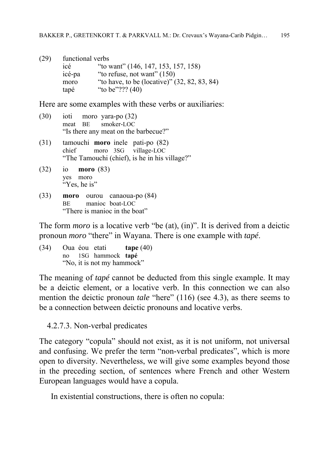(29) functional verbs icé "to want" (146, 147, 153, 157, 158)<br>icé-pa "to refuse, not want" (150) "to refuse, not want"  $(150)$ moro "to have, to be (locative)" (32, 82, 83, 84) tapé "to be"??? (40)

Here are some examples with these verbs or auxiliaries:

- (30) ioti moro yara-po (32) meat BE smoker-LOC "Is there any meat on the barbecue?"
- (31) tamouchi **moro** inele pati-po (82) chief moro 3SG village-LOC "The Tamouchi (chief), is he in his village?"
- (32) io **moro** (83) yes moro "Yes, he is"
- (33) **moro** ourou canaoua-po (84) BE manioc boat-LOC "There is manioc in the boat"

The form *moro* is a locative verb "be (at), (in)". It is derived from a deictic pronoun *moro* "there" in Wayana. There is one example with *tapé*.

(34) Oua éou etati **tape** (40) no 1SG hammock **tapé** "No, it is not my hammock"

The meaning of *tapé* cannot be deducted from this single example. It may be a deictic element, or a locative verb. In this connection we can also mention the deictic pronoun *tale* "here" (116) (see 4.3), as there seems to be a connection between deictic pronouns and locative verbs.

4.2.7.3. Non-verbal predicates

The category "copula" should not exist, as it is not uniform, not universal and confusing. We prefer the term "non-verbal predicates", which is more open to diversity. Nevertheless, we will give some examples beyond those in the preceding section, of sentences where French and other Western European languages would have a copula.

In existential constructions, there is often no copula: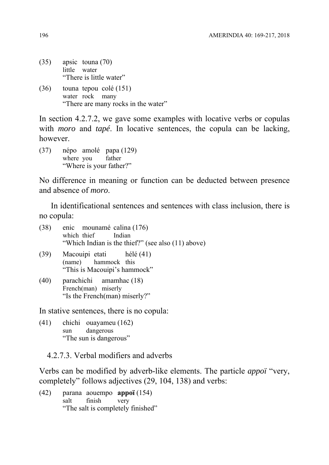- (35) apsic touna (70) little water "There is little water"
- (36) touna tepou colé (151) water rock many "There are many rocks in the water"

In section 4.2.7.2, we gave some examples with locative verbs or copulas with *moro* and *tapé*. In locative sentences, the copula can be lacking, however.

(37) népo amolé papa (129) where you father "Where is your father?"

No difference in meaning or function can be deducted between presence and absence of *moro*.

In identificational sentences and sentences with class inclusion, there is no copula:

| $(38)$ enic mounamé calina $(176)$<br>which thief Indian | "Which Indian is the thief?" (see also (11) above) |
|----------------------------------------------------------|----------------------------------------------------|
| (39) Macouipi etati hélé (41)                            |                                                    |

- (name) hammock this "This is Macouipi's hammock"
- (40) parachichi amamhac (18) French(man) miserly "Is the French(man) miserly?"

In stative sentences, there is no copula:

(41) chichi ouayameu (162) sun dangerous "The sun is dangerous"

4.2.7.3. Verbal modifiers and adverbs

Verbs can be modified by adverb-like elements. The particle *appoï* "very, completely" follows adjectives (29, 104, 138) and verbs:

(42) parana aouempo **appoï** (154) salt finish very "The salt is completely finished"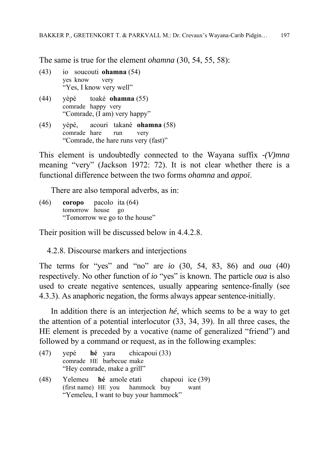The same is true for the element *ohamna* (30, 54, 55, 58):

- (43) io soucouti **ohamna** (54) yes know very "Yes, I know very well"
- (44) yèpé toaké **ohamna** (55) comrade happy very "Comrade, (I am) very happy"
- (45) yépé, acouri takané **ohamna** (58) comrade hare run very "Comrade, the hare runs very (fast)"

This element is undoubtedly connected to the Wayana suffix *-(V)mna* meaning "very" (Jackson 1972: 72). It is not clear whether there is a functional difference between the two forms *ohamna* and *appoï*.

There are also temporal adverbs, as in:

(46) **coropo** pacolo ita (64) tomorrow house go "Tomorrow we go to the house"

Their position will be discussed below in 4.4.2.8.

4.2.8. Discourse markers and interjections

The terms for "yes" and "no" are *io* (30, 54, 83, 86) and *oua* (40) respectively. No other function of *io* "yes" is known. The particle *oua* is also used to create negative sentences, usually appearing sentence-finally (see 4.3.3). As anaphoric negation, the forms always appear sentence-initially.

In addition there is an interjection *hé*, which seems to be a way to get the attention of a potential interlocutor (33, 34, 39). In all three cases, the HE element is preceded by a vocative (name of generalized "friend") and followed by a command or request, as in the following examples:

|      |                             |  | (47) yepé hé yara chicapoui (33)        |      |
|------|-----------------------------|--|-----------------------------------------|------|
|      | comrade HE barbecue make    |  |                                         |      |
|      | "Hey comrade, make a grill" |  |                                         |      |
| (48) |                             |  | Yelemeu hé amole etati chapoui ice (39) |      |
|      |                             |  | (first name) HE you hammock buy         | want |
|      |                             |  | "Yemeleu, I want to buy your hammock"   |      |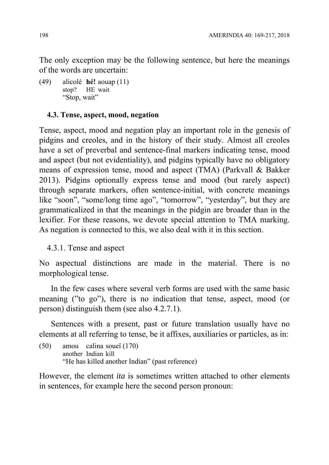The only exception may be the following sentence, but here the meanings of the words are uncertain:

(49) alicolé **hé!** aouap (11) stop? HE wait "Stop, wait"

### **4.3. Tense, aspect, mood, negation**

Tense, aspect, mood and negation play an important role in the genesis of pidgins and creoles, and in the history of their study. Almost all creoles have a set of preverbal and sentence-final markers indicating tense, mood and aspect (but not evidentiality), and pidgins typically have no obligatory means of expression tense, mood and aspect (TMA) (Parkvall & Bakker 2013). Pidgins optionally express tense and mood (but rarely aspect) through separate markers, often sentence-initial, with concrete meanings like "soon", "some/long time ago", "tomorrow", "yesterday", but they are grammaticalized in that the meanings in the pidgin are broader than in the lexifier. For these reasons, we devote special attention to TMA marking. As negation is connected to this, we also deal with it in this section.

4.3.1. Tense and aspect

No aspectual distinctions are made in the material. There is no morphological tense.

In the few cases where several verb forms are used with the same basic meaning ("to go"), there is no indication that tense, aspect, mood (or person) distinguish them (see also 4.2.7.1).

Sentences with a present, past or future translation usually have no elements at all referring to tense, be it affixes, auxiliaries or particles, as in:

(50) amou calina soueï (170) another Indian kill "He has killed another Indian" (past reference)

However, the element *ita* is sometimes written attached to other elements in sentences, for example here the second person pronoun: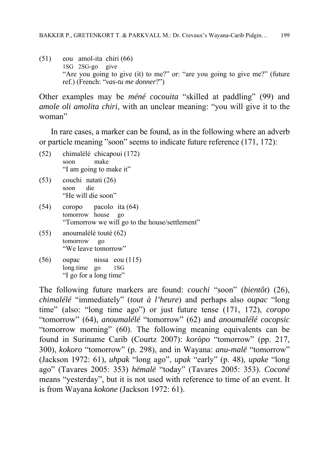(51) eou amol-ita chiri (66) 1SG 2SG-go give "Are you going to give (it) to me?" or: "are you going to give me?" (future ref.) (French: "*vas-tu me donner*?")

Other examples may be *méné cocouita* "skilled at paddling" (99) and *amole oli amolita chiri*, with an unclear meaning: "you will give it to the woman"

In rare cases, a marker can be found, as in the following where an adverb or particle meaning "soon" seems to indicate future reference (171, 172):

- (52) chimalélé chicapoui (172) soon make "I am going to make it"
- (53) couchi natati (26) soon die "He will die soon"
- (54) coropo pacolo ita (64) tomorrow house go "Tomorrow we will go to the house/settlement"
- (55) anoumalélé touté (62) tomorrow go "We leave tomorrow"
- (56) oupac nissa eou (115) long.time go 1SG "I go for a long time"

The following future markers are found: *couchi* "soon" (*bientôt*) (26), *chimalélé* "immediately" (*tout à l'heure*) and perhaps also *oupac* "long time" (also: "long time ago") or just future tense (171, 172), *coropo* "tomorrow" (64), *anoumalélé* "tomorrow" (62) and *anoumalélé cocopsic* "tomorrow morning" (60). The following meaning equivalents can be found in Suriname Carib (Courtz 2007): *koròpo* "tomorrow" (pp. 217, 300), *kokoro* "tomorrow" (p. 298), and in Wayana: *anu-malë* "tomorrow" (Jackson 1972: 61), *uhpak* "long ago", *upak* "early" (p. 48), *upake* "long ago" (Tavares 2005: 353) *hëmalë* "today" (Tavares 2005: 353). *Coconé* means "yesterday", but it is not used with reference to time of an event. It is from Wayana *kokone* (Jackson 1972: 61).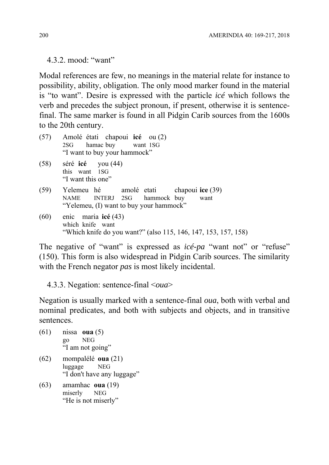4.3.2. mood: "want"

Modal references are few, no meanings in the material relate for instance to possibility, ability, obligation. The only mood marker found in the material is "to want". Desire is expressed with the particle *icé* which follows the verb and precedes the subject pronoun, if present, otherwise it is sentencefinal. The same marker is found in all Pidgin Carib sources from the 1600s to the 20th century.

|      | (57) Amolé étati chapoui icé ou (2)<br>2SG hamac buy want 1SG<br>"I want to buy your hammock"                          |
|------|------------------------------------------------------------------------------------------------------------------------|
|      | $(58)$ séré <b>icé</b> you $(44)$<br>this want 1SG<br>"I want this one"                                                |
| (59) | Yelemeu hé amolé etati chapoui ice (39)<br>NAME INTERJ 2SG hammock buy want<br>"Yelemeu, (I) want to buy your hammock" |
| (60) | enic maria icé (43)<br>which knife want<br>"Which knife do you want?" (also 115, 146, 147, 153, 157, 158)              |

The negative of "want" is expressed as *icé-pa* "want not" or "refuse" (150). This form is also widespread in Pidgin Carib sources. The similarity with the French negator *pas* is most likely incidental.

4.3.3. Negation: sentence-final <*oua*>

Negation is usually marked with a sentence-final *oua*, both with verbal and nominal predicates, and both with subjects and objects, and in transitive sentences.

- (61) nissa **oua** (5) go NEG "I am not going" (62) mompalélé **oua** (21)
- luggage NEG "I don't have any luggage"
- (63) amamhac **oua** (19) miserly NEG "He is not miserly"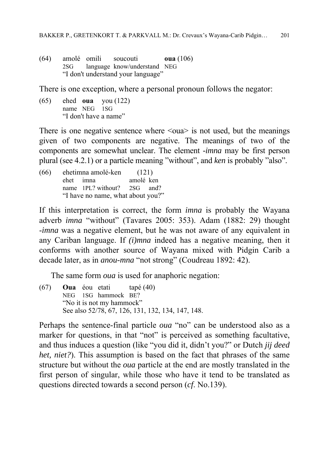(64) amolé omili soucouti **oua** (106) 2SG language know/understand NEG "I don't understand your language"

There is one exception, where a personal pronoun follows the negator:

(65) ehed **oua** you (122) name NEG 1SG "I don't have a name"

There is one negative sentence where  $\langle \text{ou} \rangle$  is not used, but the meanings given of two components are negative. The meanings of two of the components are somewhat unclear. The element *-imna* may be first person plural (see 4.2.1) or a particle meaning "without", and *ken* is probably "also".

(66) ehetimna amolé-ken (121) ehet imna amolé ken name 1PL? without? 2SG and? "I have no name, what about you?"

If this interpretation is correct, the form *imna* is probably the Wayana adverb *imna* "without" (Tavares 2005: 353). Adam (1882: 29) thought -*imna* was a negative element, but he was not aware of any equivalent in any Cariban language. If *(i)mna* indeed has a negative meaning, then it conforms with another source of Wayana mixed with Pidgin Carib a decade later, as in *anou-mna* "not strong" (Coudreau 1892: 42).

The same form *oua* is used for anaphoric negation:

(67) **Oua** éou etati tapé (40) NEG 1SG hammock BE? "No it is not my hammock" See also 52/78, 67, 126, 131, 132, 134, 147, 148.

Perhaps the sentence-final particle *oua* "no" can be understood also as a marker for questions, in that "not" is perceived as something facultative, and thus induces a question (like "you did it, didn't you?" or Dutch *jij deed het, niet?*). This assumption is based on the fact that phrases of the same structure but without the *oua* particle at the end are mostly translated in the first person of singular, while those who have it tend to be translated as questions directed towards a second person (*cf*. No.139).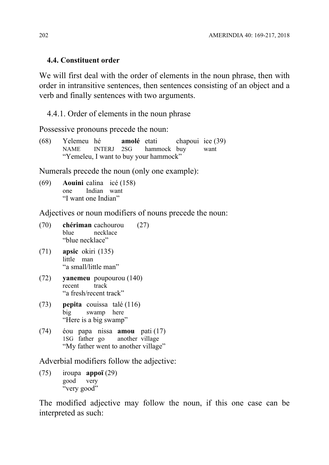### **4.4. Constituent order**

We will first deal with the order of elements in the noun phrase, then with order in intransitive sentences, then sentences consisting of an object and a verb and finally sentences with two arguments.

4.4.1. Order of elements in the noun phrase

Possessive pronouns precede the noun:

(68) Yelemeu hé **amolé** etati chapoui ice (39) NAME INTERJ 2SG hammock buy want "Yemeleu, I want to buy your hammock"

Numerals precede the noun (only one example):

(69) **Aouini** calina icé (158) one Indian want "I want one Indian"

Adjectives or noun modifiers of nouns precede the noun:

- (70) **chériman** cachourou (27) blue necklace "blue necklace"
- (71) **apsic** okiri (135) little man "a small/little man"
- (72) **yanemeu** poupourou (140) recent track "a fresh/recent track"
- (73) **pepita** couissa talé (116) big swamp here "Here is a big swamp"
- (74) éou papa nissa **amou** pati (17) 1SG father go another village "My father went to another village"

Adverbial modifiers follow the adjective:

(75) iroupa **appoï** (29) good very "very good"

The modified adjective may follow the noun, if this one case can be interpreted as such: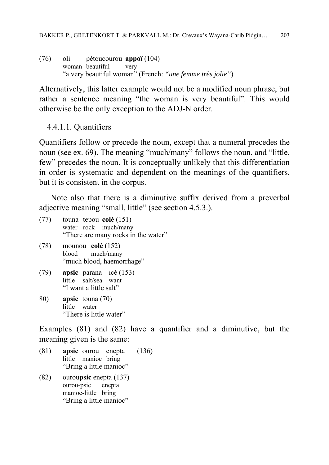(76) oli pétoucourou **appoï** (104) woman beautiful very "a very beautiful woman" (French: *"une femme très jolie"*)

Alternatively, this latter example would not be a modified noun phrase, but rather a sentence meaning "the woman is very beautiful". This would otherwise be the only exception to the ADJ-N order.

4.4.1.1. Quantifiers

Quantifiers follow or precede the noun, except that a numeral precedes the noun (see ex. 69). The meaning "much/many" follows the noun, and "little, few" precedes the noun. It is conceptually unlikely that this differentiation in order is systematic and dependent on the meanings of the quantifiers, but it is consistent in the corpus.

Note also that there is a diminutive suffix derived from a preverbal adjective meaning "small, little" (see section 4.5.3.).

- (77) touna tepou **colé** (151) water rock much/many "There are many rocks in the water"
- (78) mounou **colé** (152) blood much/many "much blood, haemorrhage"
- (79) **apsic** parana icé (153) little salt/sea want "I want a little salt"
- 80) **apsic** touna (70) little water "There is little water"

Examples (81) and (82) have a quantifier and a diminutive, but the meaning given is the same:

- (81) **apsic** ourou enepta (136) little manioc bring "Bring a little manioc"
- (82) ourou**psic** enepta (137) ourou-psic enepta manioc-little bring "Bring a little manioc"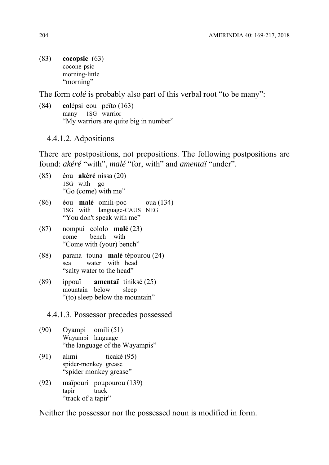(83) **cocopsic** (63) cocone-psic morning-little "morning"

The form *colé* is probably also part of this verbal root "to be many":

(84) **col**épsi eou peïto (163) many 1SG warrior "My warriors are quite big in number"

4.4.1.2. Adpositions

There are postpositions, not prepositions. The following postpositions are found: *akéré* "with", *malé* "for, with" and *amentaï* "under".

- (85) éou **akéré** nissa (20) 1SG with go "Go (come) with me"
- (86) éou **malé** omili-poc oua (134) 1SG with language-CAUS NEG "You don't speak with me"
- (87) nompui cololo **malé** (23) come bench with "Come with (your) bench"
- (88) parana touna **malé** tépourou (24) sea water with head "salty water to the head"
- (89) ippouï **amentaï** tiniksé (25) mountain below sleep "(to) sleep below the mountain"

4.4.1.3. Possessor precedes possessed

- (90) Oyampi omili (51) Wayampi language "the language of the Wayampis"
- (91) alimi ticaké (95) spider-monkey grease "spider monkey grease"
- (92) maïpouri poupourou (139) tapir track "track of a tapir"

Neither the possessor nor the possessed noun is modified in form.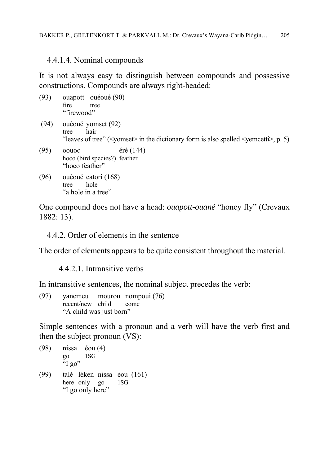### 4.4.1.4. Nominal compounds

It is not always easy to distinguish between compounds and possessive constructions. Compounds are always right-headed:

- (93) ouapott ouéoué (90) fire tree "firewood"
- (94) ouéoué yomset (92) tree hair "leaves of tree" ( $\leq$ yomset $\geq$  in the dictionary form is also spelled  $\leq$ yemcetti $\geq$ , p. 5)
- (95) oouoc éré (144) hoco (bird species?) feather "hoco feather"
- (96) ouéoué catori (168) tree hole "a hole in a tree"

One compound does not have a head: *ouapott-ouané* "honey fly" (Crevaux 1882: 13).

4.4.2. Order of elements in the sentence

The order of elements appears to be quite consistent throughout the material.

4.4.2.1. Intransitive verbs

In intransitive sentences, the nominal subject precedes the verb:

(97) yanemeu mourou nompoui (76) recent/new child come "A child was just born"

Simple sentences with a pronoun and a verb will have the verb first and then the subject pronoun (VS):

- (98) nissa éou (4) go 1SG "I go" (99) talé léken nissa éou (161) here only go 1SG
- "I go only here"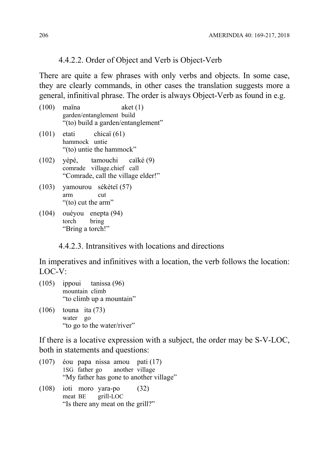# 4.4.2.2. Order of Object and Verb is Object-Verb

There are quite a few phrases with only verbs and objects. In some case, they are clearly commands, in other cases the translation suggests more a general, infinitival phrase. The order is always Object-Verb as found in e.g.

- (100) maïna aket (1) garden/entanglement build "(to) build a garden/entanglement"
- $(101)$  etati chicaï  $(61)$ hammock untie "(to) untie the hammock"
- (102) yépé, tamouchi caïké (9) comrade village.chief call "Comrade, call the village elder!"
- (103) yamourou sékéteï (57) arm cut "(to) cut the arm"
- (104) ouéyou enepta (94) torch bring "Bring a torch!"

4.4.2.3. Intransitives with locations and directions

In imperatives and infinitives with a location, the verb follows the location: LOC-V:

- (105) ippoui tanissa (96) mountain climb "to climb up a mountain"
- (106) touna ita (73) water go "to go to the water/river"

If there is a locative expression with a subject, the order may be S-V-LOC, both in statements and questions:

- (107) éou papa nissa amou pati (17) 1SG father go another village "My father has gone to another village"
- (108) ioti moro yara-po (32) meat BE grill-LOC "Is there any meat on the grill?"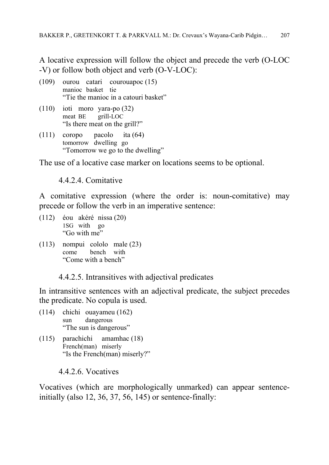A locative expression will follow the object and precede the verb (O-LOC -V) or follow both object and verb (O-V-LOC):

- (109) ourou catari courouapoc (15) manioc basket tie "Tie the manioc in a catouri basket"
- (110) ioti moro yara-po (32) meat BE grill-LOC "Is there meat on the grill?"
- (111) coropo pacolo ita (64) tomorrow dwelling go "Tomorrow we go to the dwelling"

The use of a locative case marker on locations seems to be optional.

4.4.2.4. Comitative

A comitative expression (where the order is: noun-comitative) may precede or follow the verb in an imperative sentence:

- (112) éou akéré nissa (20) 1SG with go "Go with me"
- (113) nompui cololo male (23) come bench with "Come with a bench"

4.4.2.5. Intransitives with adjectival predicates

In intransitive sentences with an adjectival predicate, the subject precedes the predicate. No copula is used.

- (114) chichi ouayameu (162) sun dangerous "The sun is dangerous"
- (115) parachichi amamhac (18) French(man) miserly "Is the French(man) miserly?"

4.4.2.6. Vocatives

Vocatives (which are morphologically unmarked) can appear sentenceinitially (also 12, 36, 37, 56, 145) or sentence-finally: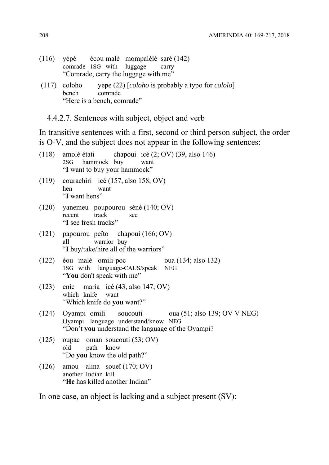- (116) yépé écou malé mompalélé saré (142) comrade 1SG with luggage carry "Comrade, carry the luggage with me"
- (117) coloho yepe (22) [*coloho* is probably a typo for *cololo*] bench comrade "Here is a bench, comrade"
	- 4.4.2.7. Sentences with subject, object and verb

In transitive sentences with a first, second or third person subject, the order is O-V, and the subject does not appear in the following sentences:

| (118) | amolé étati chapoui icé (2; OV) (39, also 146)<br>hammock buy<br>2SG<br>want<br>"I want to buy your hammock"                                       |
|-------|----------------------------------------------------------------------------------------------------------------------------------------------------|
| (119) | courachiri icé (157, also 158; OV)<br>hen<br>want<br>"I want hens"                                                                                 |
| (120) | yanemeu poupourou séné (140; OV)<br>track<br>recent<br>see<br>"I see fresh tracks"                                                                 |
| (121) | papourou peïto chapoui (166; OV)<br>warrior buy<br>all<br>"I buy/take/hire all of the warriors"                                                    |
| (122) | éou malé omili-poc<br>oua (134; also 132)<br>1SG with language-CAUS/speak NEG<br>"You don't speak with me"                                         |
| (123) | enic maria icé (43, also 147; OV)<br>which knife<br>want<br>"Which knife do you want?"                                                             |
| (124) | oua (51; also 139; OV V NEG)<br>Oyampi omili soucouti<br>Oyampi language understand/know NEG<br>"Don't you understand the language of the Oyampi?" |
| (125) | oupac oman soucouti (53; OV)<br>path<br>know<br>old<br>"Do you know the old path?"                                                                 |
| (126) | amou alina soueï (170; OV)<br>another Indian kill<br>"He has killed another Indian"                                                                |
|       | In one case, an object is lacking and a subject present (SV):                                                                                      |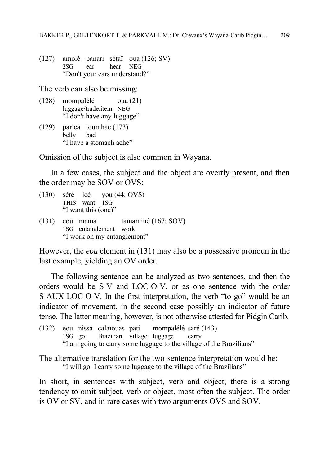(127) amolé panari sétaï oua (126; SV) 2SG ear hear NEG "Don't your ears understand?"

The verb can also be missing:

- (128) mompalélé oua (21) luggage/trade.item NEG "I don't have any luggage"
- (129) parica toumhac (173) belly bad "I have a stomach ache"

Omission of the subject is also common in Wayana.

In a few cases, the subject and the object are overtly present, and then the order may be SOV or OVS:

- (130) séré icé you (44; OVS) THIS want 1SG "I want this (one)"
- (131) eou maïna tamaminé (167; SOV) 1SG entanglement work "I work on my entanglement"

However, the *eou* element in (131) may also be a possessive pronoun in the last example, yielding an OV order.

The following sentence can be analyzed as two sentences, and then the orders would be S-V and LOC-O-V, or as one sentence with the order S-AUX-LOC-O-V. In the first interpretation, the verb "to go" would be an indicator of movement, in the second case possibly an indicator of future tense. The latter meaning, however, is not otherwise attested for Pidgin Carib.

(132) eou nissa calaïouas pati mompalélé saré (143) 1SG go Brazilian village luggage carry "I am going to carry some luggage to the village of the Brazilians"

The alternative translation for the two-sentence interpretation would be: "I will go. I carry some luggage to the village of the Brazilians"

In short, in sentences with subject, verb and object, there is a strong tendency to omit subject, verb or object, most often the subject. The order is OV or SV, and in rare cases with two arguments OVS and SOV.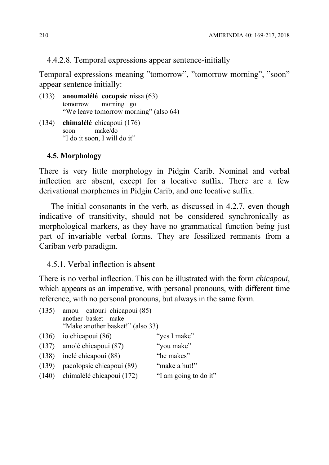# 4.4.2.8. Temporal expressions appear sentence-initially

Temporal expressions meaning "tomorrow", "tomorrow morning", "soon" appear sentence initially:

- (133) **anoumalélé cocopsic** nissa (63) tomorrow morning go "We leave tomorrow morning" (also 64)
- (134) **chimalélé** chicapoui (176) soon make/do "I do it soon, I will do it"

# **4.5. Morphology**

There is very little morphology in Pidgin Carib. Nominal and verbal inflection are absent, except for a locative suffix. There are a few derivational morphemes in Pidgin Carib, and one locative suffix.

The initial consonants in the verb, as discussed in 4.2.7, even though indicative of transitivity, should not be considered synchronically as morphological markers, as they have no grammatical function being just part of invariable verbal forms. They are fossilized remnants from a Cariban verb paradigm.

4.5.1. Verbal inflection is absent

There is no verbal inflection. This can be illustrated with the form *chicapoui*, which appears as an imperative, with personal pronouns, with different time reference, with no personal pronouns, but always in the same form.

| (135) | amou catouri chicapoui (85)<br>another basket make<br>"Make another basket!" (also 33) |                       |
|-------|----------------------------------------------------------------------------------------|-----------------------|
| (136) | io chicapoui (86)                                                                      | "yes I make"          |
| (137) | amolé chicapoui (87)                                                                   | "you make"            |
| (138) | inelé chicapoui (88)                                                                   | "he makes"            |
| (139) | pacolopsic chicapoui (89)                                                              | "make a hut!"         |
|       | (140) chimalélé chicapoui (172)                                                        | "I am going to do it" |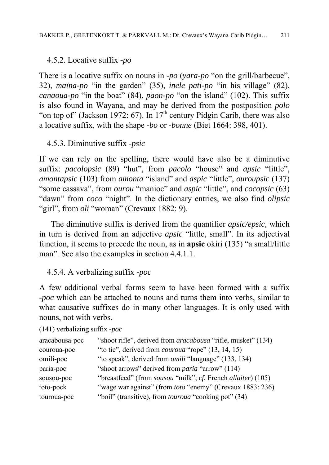# 4.5.2. Locative suffix *-po*

There is a locative suffix on nouns in *-po* (*yara-po* "on the grill/barbecue", 32), *maïna-po* "in the garden" (35), *inele pati-po* "in his village" (82), *canaoua-po* "in the boat" (84), *paon-po* "on the island" (102). This suffix is also found in Wayana, and may be derived from the postposition *polo* "on top of" (Jackson 1972: 67). In  $17<sup>th</sup>$  century Pidgin Carib, there was also a locative suffix, with the shape *-bo* or *-bonne* (Biet 1664: 398, 401).

# 4.5.3. Diminutive suffix -*psic*

If we can rely on the spelling, there would have also be a diminutive suffix: *pacolopsic* (89) "hut", from *pacolo* "house" and *apsic* "little", *amontapsic* (103) from *amonta* "island" and *aspic* "little", *ouroupsic* (137) "some cassava", from *ourou* "manioc" and *aspic* "little", and *cocopsic* (63) "dawn" from *coco* "night". In the dictionary entries, we also find *olipsic* "girl", from *oli* "woman" (Crevaux 1882: 9).

The diminutive suffix is derived from the quantifier *apsic/epsic,* which in turn is derived from an adjective *apsic* "little, small". In its adjectival function, it seems to precede the noun, as in **apsic** okiri (135) "a small/little man". See also the examples in section 4.4.1.1.

4.5.4. A verbalizing suffix *-poc*

A few additional verbal forms seem to have been formed with a suffix *-poc* which can be attached to nouns and turns them into verbs, similar to what causative suffixes do in many other languages. It is only used with nouns, not with verbs.

(141) verbalizing suffix *-poc*

| aracabousa-poc | "shoot rifle", derived from <i>aracabousa</i> "rifle, musket" (134)                |
|----------------|------------------------------------------------------------------------------------|
| couroua-poc    | "to tie", derived from <i>couroua</i> "rope" (13, 14, 15)                          |
| omili-poc      | "to speak", derived from <i>omili</i> "language" (133, 134)                        |
| paria-poc      | "shoot arrows" derived from <i>paria</i> "arrow" (114)                             |
| sousou-poc     | "breastfeed" (from <i>sousou</i> "milk"; <i>cf.</i> French <i>allaiter</i> ) (105) |
| toto-pock      | "wage war against" (from <i>toto</i> "enemy" (Crevaux 1883: 236)                   |
| touroua-poc    | "boil" (transitive), from <i>touroua</i> "cooking pot" (34)                        |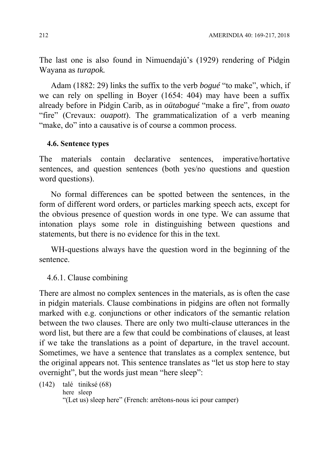The last one is also found in Nimuendajú's (1929) rendering of Pidgin Wayana as *turapok.* 

Adam (1882: 29) links the suffix to the verb *bogué* "to make", which, if we can rely on spelling in Boyer (1654: 404) may have been a suffix already before in Pidgin Carib, as in *oütabogué* "make a fire", from *ouato* "fire" (Crevaux: *ouapott*). The grammaticalization of a verb meaning "make, do" into a causative is of course a common process.

### **4.6. Sentence types**

The materials contain declarative sentences, imperative/hortative sentences, and question sentences (both yes/no questions and question word questions).

No formal differences can be spotted between the sentences, in the form of different word orders, or particles marking speech acts, except for the obvious presence of question words in one type. We can assume that intonation plays some role in distinguishing between questions and statements, but there is no evidence for this in the text.

WH-questions always have the question word in the beginning of the sentence.

### 4.6.1. Clause combining

There are almost no complex sentences in the materials, as is often the case in pidgin materials. Clause combinations in pidgins are often not formally marked with e.g. conjunctions or other indicators of the semantic relation between the two clauses. There are only two multi-clause utterances in the word list, but there are a few that could be combinations of clauses, at least if we take the translations as a point of departure, in the travel account. Sometimes, we have a sentence that translates as a complex sentence, but the original appears not. This sentence translates as "let us stop here to stay overnight", but the words just mean "here sleep":

```
(142) talé tiniksé (68) 
        here sleep 
        "(Let us) sleep here" (French: arrêtons-nous ici pour camper)
```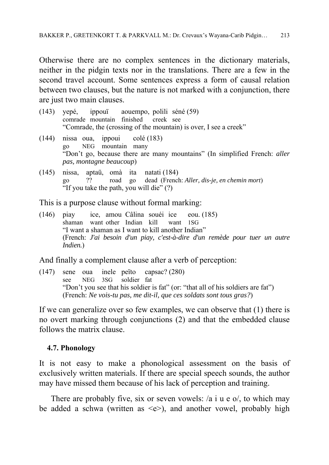Otherwise there are no complex sentences in the dictionary materials, neither in the pidgin texts nor in the translations. There are a few in the second travel account. Some sentences express a form of causal relation between two clauses, but the nature is not marked with a conjunction, there are just two main clauses.

- (143) yepé, ippouï aouempo, polili séné (59) comrade mountain finished creek see "Comrade, the (crossing of the mountain) is over, I see a creek"
- (144) nissa oua, ippoui colé (183) go NEG mountain many "Don't go, because there are many mountains" (In simplified French: *aller pas, montagne beaucoup*)
- (145) nissa, aptaü, omà ita natati (184) go ?? road go dead (French: *Aller, dis-je, en chemin mort*) "If you take the path, you will die" (?)

This is a purpose clause without formal marking:

(146) piay ice, amou Câlina souéi ice eou. (185) shaman want other Indian kill want 1SG "I want a shaman as I want to kill another Indian" (French: *J'ai besoin d'un piay, c'est-à-dire d'un remède pour tuer un autre Indien.*)

And finally a complement clause after a verb of perception:

(147) sene oua inele peïto capsac? (280) see NEG 3SG soldier fat "Don't you see that his soldier is fat" (or: "that all of his soldiers are fat") (French: *Ne vois-tu pas, me dit-il, que ces soldats sont tous gras?*)

If we can generalize over so few examples, we can observe that (1) there is no overt marking through conjunctions (2) and that the embedded clause follows the matrix clause.

#### **4.7. Phonology**

It is not easy to make a phonological assessment on the basis of exclusively written materials. If there are special speech sounds, the author may have missed them because of his lack of perception and training.

There are probably five, six or seven vowels: /a i u e o/, to which may be added a schwa (written as  $\leq e$ ), and another vowel, probably high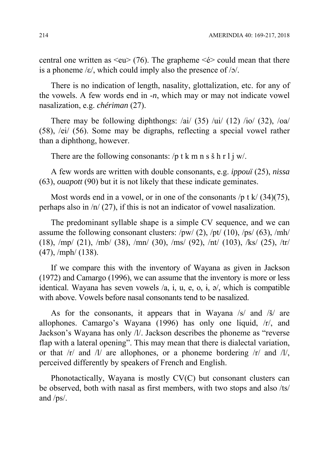central one written as  $\langle eu \rangle$  (76). The grapheme  $\langle \dot{e} \rangle$  could mean that there is a phoneme / $\varepsilon$ /, which could imply also the presence of / $\sigma$ /.

There is no indication of length, nasality, glottalization, etc. for any of the vowels. A few words end in -*n*, which may or may not indicate vowel nasalization, e.g. *chériman* (27).

There may be following diphthongs:  $\frac{ai}{(35)}$   $\frac{ai}{(12)}$   $\frac{7ia}{(32)}$ ,  $\frac{3ai}{(32)}$ (58), /ei/ (56). Some may be digraphs, reflecting a special vowel rather than a diphthong, however.

There are the following consonants: /p t k m n s  $\sinh(1)$  w/.

A few words are written with double consonants, e.g. *ippouï* (25), *nissa*  (63), *ouapott* (90) but it is not likely that these indicate geminates.

Most words end in a vowel, or in one of the consonants /p t k/  $(34)(75)$ , perhaps also in /n/ (27), if this is not an indicator of vowel nasalization.

The predominant syllable shape is a simple CV sequence, and we can assume the following consonant clusters:  $/pw/$  (2),  $/pt/$  (10),  $/ps/$  (63),  $/mh/$ (18), /mp/ (21), /mb/ (38), /mn/ (30), /ms/ (92), /nt/ (103), /ks/ (25), /tr/ (47), /mph/ (138).

If we compare this with the inventory of Wayana as given in Jackson (1972) and Camargo (1996), we can assume that the inventory is more or less identical. Wayana has seven vowels  $\alpha$ , i, u, e, o, i,  $\alpha$ , which is compatible with above. Vowels before nasal consonants tend to be nasalized.

As for the consonants, it appears that in Wayana /s/ and /š/ are allophones. Camargo's Wayana (1996) has only one liquid, /r/, and Jackson's Wayana has only /l/. Jackson describes the phoneme as "reverse flap with a lateral opening". This may mean that there is dialectal variation, or that  $\langle r \rangle$  and  $\langle r \rangle$  are allophones, or a phoneme bordering  $\langle r \rangle$  and  $\langle r \rangle$ , perceived differently by speakers of French and English.

Phonotactically, Wayana is mostly CV(C) but consonant clusters can be observed, both with nasal as first members, with two stops and also /ts/ and /ps/.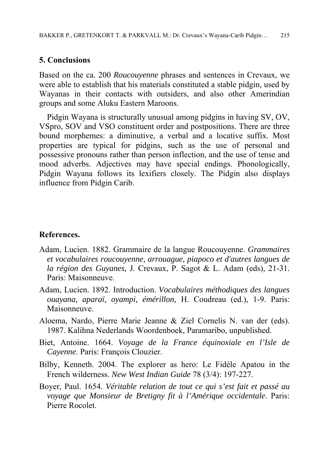### **5. Conclusions**

Based on the ca. 200 *Roucouyenne* phrases and sentences in Crevaux, we were able to establish that his materials constituted a stable pidgin, used by Wayanas in their contacts with outsiders, and also other Amerindian groups and some Aluku Eastern Maroons.

Pidgin Wayana is structurally unusual among pidgins in having SV, OV, VSpro, SOV and VSO constituent order and postpositions. There are three bound morphemes: a diminutive, a verbal and a locative suffix. Most properties are typical for pidgins, such as the use of personal and possessive pronouns rather than person inflection, and the use of tense and mood adverbs. Adjectives may have special endings. Phonologically, Pidgin Wayana follows its lexifiers closely. The Pidgin also displays influence from Pidgin Carib.

#### **References.**

- Adam, Lucien. 1882. Grammaire de la langue Roucouyenne. *Grammaires et vocabulaires roucouyenne, arrouague, piapoco et d'autres langues de la région des Guyanes,* J. Crevaux, P. Sagot & L. Adam (eds), 21-31*.* Paris: Maisonneuve.
- Adam, Lucien. 1892. Introduction. *Vocabulaires méthodiques des langues ouayana, aparaï, oyampi, émérillon,* H. Coudreau (ed.), 1-9. Paris: Maisonneuve.
- Aloema, Nardo, Pierre Marie Jeanne & Ziel Cornelis N. van der (eds). 1987. Kalihna Nederlands Woordenboek, Paramaribo, unpublished.
- Biet, Antoine. 1664. *Voyage de la France équinoxiale en l'Isle de Cayenne*. Paris: François Clouzier.
- Bilby, Kenneth. 2004. The explorer as hero: Le Fidèle Apatou in the French wilderness. *New West Indian Guide* 78 (3/4): 197-227.
- Boyer, Paul. 1654. *Véritable relation de tout ce qui s'est fait et passé au voyage que Monsieur de Bretigny fit à l'Amérique occidentale*. Paris: Pierre Rocolet.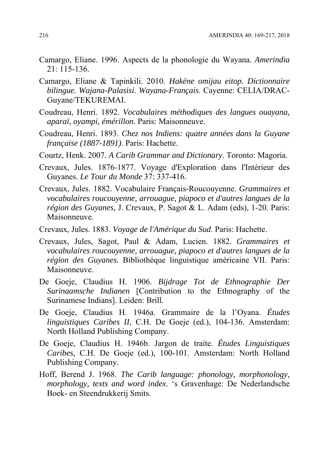- Camargo, Eliane. 1996. Aspects de la phonologie du Wayana. *Amerindia* 21: 115-136.
- Camargo, Eliane & Tapinkili. 2010. *Hakëne omijau eitop. Dictionnaire bilingue. Wajana-Palasisi. Wayana-Français*. Cayenne: CELIA/DRAC-Guyane/TEKUREMAI.
- Coudreau, Henri. 1892. *Vocabulaires méthodiques des langues ouayana, aparaï, oyampi, émérillon*. Paris: Maisonneuve.
- Coudreau, Henri. 1893. *Chez nos Indiens: quatre années dans la Guyane française (1887-1891)*. Paris: Hachette.
- Courtz, Henk. 2007. *A Carib Grammar and Dictionary*. Toronto: Magoria.
- Crevaux, Jules. 1876-1877. Voyage d'Exploration dans l'Intérieur des Guyanes. *Le Tour du Monde* 37: 337-416.
- Crevaux, Jules. 1882. Vocabulaire Français-Roucouyenne. *Grammaires et vocabulaires roucouyenne, arrouague, piapoco et d'autres langues de la région des Guyanes,* J. Crevaux, P. Sagot & L. Adam (eds), 1-20*.* Paris: Maisonneuve.
- Crevaux, Jules. 1883. *Voyage de l'Amérique du Sud*. Paris: Hachette.
- Crevaux, Jules, Sagot, Paul & Adam, Lucien. 1882. *Grammaires et vocabulaires roucouyenne, arrouague, piapoco et d'autres langues de la région des Guyanes.* Bibliothéque linguistique américaine VII. Paris: Maisonneuve.
- De Goeje, Claudius H. 1906. *Bijdrage Tot de Ethnographie Der Surinaamsche Indianen* [Contribution to the Ethnography of the Surinamese Indians]. Leiden: Brill.
- De Goeje, Claudius H. 1946a. Grammaire de la l'Oyana. *Études linguistiques Caribes II*, C.H. De Goeje (ed.), 104-136. Amsterdam: North Holland Publishing Company.
- De Goeje, Claudius H. 1946b. Jargon de traite. *Études Linguistiques Caribes*, C.H. De Goeje (ed.), 100-101. Amsterdam: North Holland Publishing Company.
- Hoff, Berend J. 1968. *The Carib language: phonology, morphonology, morphology, texts and word index*. 's Gravenhage: De Nederlandsche Boek- en Steendrukkerij Smits.